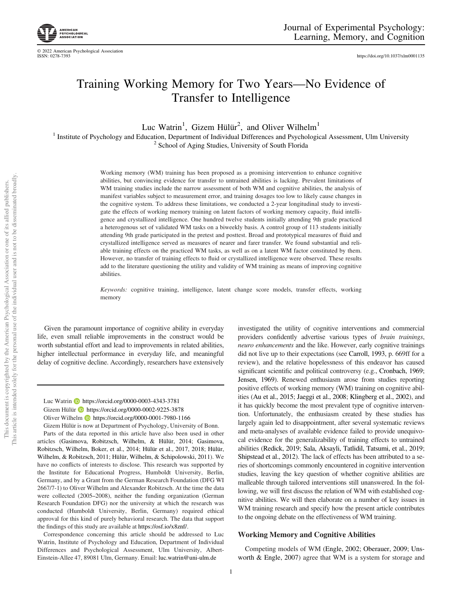

https://doi.org/10.1037/xlm0001135

# Training Working Memory for Two Years—No Evidence of Transfer to Intelligence

Luc Watrin<sup>1</sup>, Gizem Hülür<sup>2</sup>, and Oliver Wilhelm<sup>1</sup>

<sup>1</sup> Institute of Psychology and Education, Department of Individual Differences and Psychological Assessment, Ulm University <sup>2</sup> School of Aging Studies, University of South Florida

> Working memory (WM) training has been proposed as a promising intervention to enhance cognitive abilities, but convincing evidence for transfer to untrained abilities is lacking. Prevalent limitations of WM training studies include the narrow assessment of both WM and cognitive abilities, the analysis of manifest variables subject to measurement error, and training dosages too low to likely cause changes in the cognitive system. To address these limitations, we conducted a 2-year longitudinal study to investigate the effects of working memory training on latent factors of working memory capacity, fluid intelligence and crystallized intelligence. One hundred twelve students initially attending 9th grade practiced a heterogenous set of validated WM tasks on a biweekly basis. A control group of 113 students initially attending 9th grade participated in the pretest and posttest. Broad and prototypical measures of fluid and crystallized intelligence served as measures of nearer and farer transfer. We found substantial and reliable training effects on the practiced WM tasks, as well as on a latent WM factor constituted by them. However, no transfer of training effects to fluid or crystallized intelligence were observed. These results add to the literature questioning the utility and validity of WM training as means of improving cognitive abilities.

> Keywords: cognitive training, intelligence, latent change score models, transfer effects, working memory

Given the paramount importance of cognitive ability in everyday life, even small reliable improvements in the construct would be worth substantial effort and lead to improvements in related abilities, higher intellectual performance in everyday life, and meaningful delay of cognitive decline. Accordingly, researchers have extensively

Luc Watrin D https://orcid.org/0000-0003-4343-3781 Gizem Hülür https://orcid.org/0000-0002-9225-3878 Oliver Wilhelm https://orcid.org/0000-0001-7980-1166

Gizem Hülür is now at Department of Psychology, University of Bonn. Parts of the data reported in this article have also been used in other articles (Gasimova, Robitzsch, Wilhelm, & Hülür, 2014; Gasimova, Robitzsch, Wilhelm, Boker, et al., 2014; Hülür et al., 2017, 2018; Hülür, Wilhelm, & Robitzsch, 2011; Hülür, Wilhelm, & Schipolowski, 2011). We have no conflicts of interests to disclose. This research was supported by the Institute for Educational Progress, Humboldt University, Berlin, Germany, and by a Grant from the German Research Foundation (DFG WI 2667/7-1) to Oliver Wilhelm and Alexander Robitzsch. At the time the data were collected (2005–2008), neither the funding organization (German Research Foundation DFG) nor the university at which the research was conducted (Humboldt University, Berlin, Germany) required ethical approval for this kind of purely behavioral research. The data that support the findings of this study are available at https://osf.io/x8znf/.

Correspondence concerning this article should be addressed to Luc Watrin, Institute of Psychology and Education, Department of Individual Differences and Psychological Assessment, Ulm University, Albert-Einstein-Allee 47, 89081 Ulm, Germany. Email: luc.watrin@uni-ulm.de

investigated the utility of cognitive interventions and commercial providers confidently advertise various types of brain trainings, neuro enhancements and the like. However, early cognitive trainings did not live up to their expectations (see Carroll, 1993, p. 669ff for a review), and the relative hopelessness of this endeavor has caused significant scientific and political controversy (e.g., Cronbach, 1969; Jensen, 1969). Renewed enthusiasm arose from studies reporting positive effects of working memory (WM) training on cognitive abilities (Au et al., 2015; Jaeggi et al., 2008; Klingberg et al., 2002), and it has quickly become the most prevalent type of cognitive intervention. Unfortunately, the enthusiasm created by these studies has largely again led to disappointment, after several systematic reviews and meta-analyses of available evidence failed to provide unequivocal evidence for the generalizability of training effects to untrained abilities (Redick, 2019; Sala, Aksayli, Tatlidil, Tatsumi, et al., 2019; Shipstead et al., 2012). The lack of effects has been attributed to a series of shortcomings commonly encountered in cognitive intervention studies, leaving the key question of whether cognitive abilities are malleable through tailored interventions still unanswered. In the following, we will first discuss the relation of WM with established cognitive abilities. We will then elaborate on a number of key issues in WM training research and specify how the present article contributes to the ongoing debate on the effectiveness of WM training.

# Working Memory and Cognitive Abilities

Competing models of WM (Engle, 2002; Oberauer, 2009; Unsworth & Engle, 2007) agree that WM is a system for storage and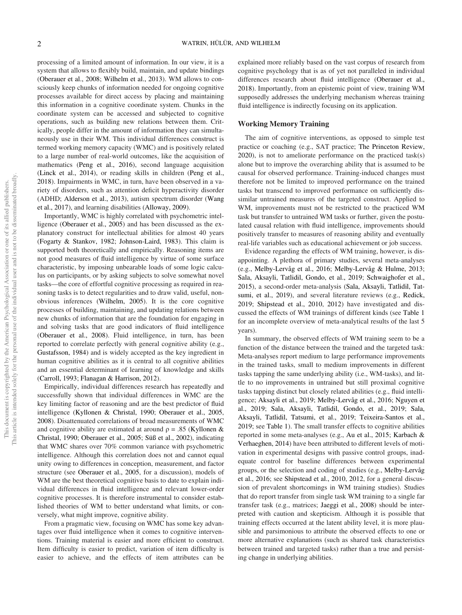processing of a limited amount of information. In our view, it is a system that allows to flexibly build, maintain, and update bindings (Oberauer et al., 2008; Wilhelm et al., 2013). WM allows to consciously keep chunks of information needed for ongoing cognitive processes available for direct access by placing and maintaining this information in a cognitive coordinate system. Chunks in the coordinate system can be accessed and subjected to cognitive operations, such as building new relations between them. Critically, people differ in the amount of information they can simultaneously use in their WM. This individual differences construct is termed working memory capacity (WMC) and is positively related to a large number of real-world outcomes, like the acquisition of mathematics (Peng et al., 2016), second language acquisition (Linck et al., 2014), or reading skills in children (Peng et al., 2018). Impairments in WMC, in turn, have been observed in a variety of disorders, such as attention deficit hyperactivity disorder (ADHD; Alderson et al., 2013), autism spectrum disorder (Wang et al., 2017), and learning disabilities (Alloway, 2009).

Importantly, WMC is highly correlated with psychometric intelligence (Oberauer et al., 2005) and has been discussed as the explanatory construct for intellectual abilities for almost 40 years (Fogarty & Stankov, 1982; Johnson-Laird, 1983). This claim is supported both theoretically and empirically. Reasoning items are not good measures of fluid intelligence by virtue of some surface characteristic, by imposing unbearable loads of some logic calculus on participants, or by asking subjects to solve somewhat novel tasks—the core of effortful cognitive processing as required in reasoning tasks is to detect regularities and to draw valid, useful, nonobvious inferences (Wilhelm, 2005). It is the core cognitive processes of building, maintaining, and updating relations between new chunks of information that are the foundation for engaging in and solving tasks that are good indicators of fluid intelligence (Oberauer et al., 2008). Fluid intelligence, in turn, has been reported to correlate perfectly with general cognitive ability (e.g., Gustafsson, 1984) and is widely accepted as the key ingredient in human cognitive abilities as it is central to all cognitive abilities and an essential determinant of learning of knowledge and skills (Carroll, 1993; Flanagan & Harrison, 2012).

Empirically, individual differences research has repeatedly and successfully shown that individual differences in WMC are the key limiting factor of reasoning and are the best predictor of fluid intelligence (Kyllonen & Christal, 1990; Oberauer et al., 2005, 2008). Disattenuated correlations of broad measurements of WMC and cognitive ability are estimated at around  $\rho = .85$  (Kyllonen & Christal, 1990; Oberauer et al., 2005; Süß et al., 2002), indicating that WMC shares over 70% common variance with psychometric intelligence. Although this correlation does not and cannot equal unity owing to differences in conception, measurement, and factor structure (see Oberauer et al., 2005, for a discussion), models of WM are the best theoretical cognitive basis to date to explain individual differences in fluid intelligence and relevant lower-order cognitive processes. It is therefore instrumental to consider established theories of WM to better understand what limits, or conversely, what might improve, cognitive ability.

From a pragmatic view, focusing on WMC has some key advantages over fluid intelligence when it comes to cognitive interventions. Training material is easier and more efficient to construct. Item difficulty is easier to predict, variation of item difficulty is easier to achieve, and the effects of item attributes can be explained more reliably based on the vast corpus of research from cognitive psychology that is as of yet not paralleled in individual differences research about fluid intelligence (Oberauer et al., 2018). Importantly, from an epistemic point of view, training WM supposedly addresses the underlying mechanism whereas training fluid intelligence is indirectly focusing on its application.

# Working Memory Training

The aim of cognitive interventions, as opposed to simple test practice or coaching (e.g., SAT practice; The Princeton Review,  $2020$ ), is not to ameliorate performance on the practiced task(s) alone but to improve the overarching ability that is assumed to be causal for observed performance. Training-induced changes must therefore not be limited to improved performance on the trained tasks but transcend to improved performance on sufficiently dissimilar untrained measures of the targeted construct. Applied to WM, improvements must not be restricted to the practiced WM task but transfer to untrained WM tasks or further, given the postulated causal relation with fluid intelligence, improvements should positively transfer to measures of reasoning ability and eventually real-life variables such as educational achievement or job success.

Evidence regarding the effects of WM training, however, is disappointing. A plethora of primary studies, several meta-analyses (e.g., Melby-Lervåg et al., 2016; Melby-Lervåg & Hulme, 2013; Sala, Aksayli, Tatlidil, Gondo, et al., 2019; Schwaighofer et al., 2015), a second-order meta-analysis (Sala, Aksayli, Tatlidil, Tatsumi, et al., 2019), and several literature reviews (e.g., Redick, 2019; Shipstead et al., 2010, 2012) have investigated and discussed the effects of WM trainings of different kinds (see Table 1 for an incomplete overview of meta-analytical results of the last 5 years).

In summary, the observed effects of WM training seem to be a function of the distance between the trained and the targeted task: Meta-analyses report medium to large performance improvements in the trained tasks, small to medium improvements in different tasks tapping the same underlying ability (i.e., WM-tasks), and little to no improvements in untrained but still proximal cognitive tasks tapping distinct but closely related abilities (e.g., fluid intelligence; Aksayli et al., 2019; Melby-Lervåg et al., 2016; Nguyen et al., 2019; Sala, Aksayli, Tatlidil, Gondo, et al., 2019; Sala, Aksayli, Tatlidil, Tatsumi, et al., 2019; Teixeira-Santos et al., 2019; see Table 1). The small transfer effects to cognitive abilities reported in some meta-analyses (e.g., Au et al., 2015; Karbach & Verhaeghen, 2014) have been attributed to different levels of motivation in experimental designs with passive control groups, inadequate control for baseline differences between experimental groups, or the selection and coding of studies (e.g., Melby-Lervåg et al., 2016; see Shipstead et al., 2010, 2012, for a general discussion of prevalent shortcomings in WM training studies). Studies that do report transfer from single task WM training to a single far transfer task (e.g., matrices; Jaeggi et al., 2008) should be interpreted with caution and skepticism. Although it is possible that training effects occurred at the latent ability level, it is more plausible and parsimonious to attribute the observed effects to one or more alternative explanations (such as shared task characteristics between trained and targeted tasks) rather than a true and persisting change in underlying abilities.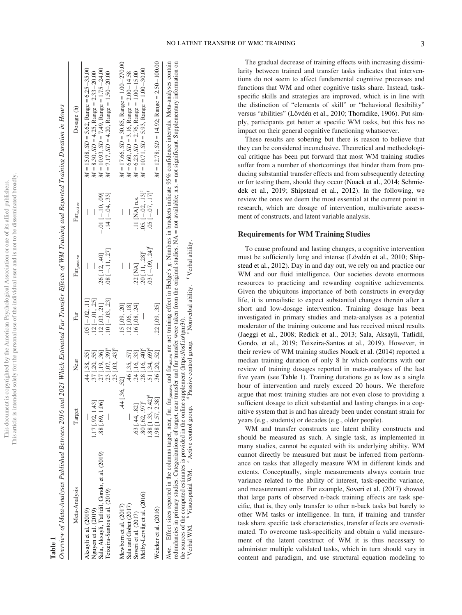| Meta-Analysis                                 | Target                           | Near                             | Far                     | Far <sub>passive</sub>           | Faractive                      | Dosage (h)                                         |
|-----------------------------------------------|----------------------------------|----------------------------------|-------------------------|----------------------------------|--------------------------------|----------------------------------------------------|
| Aksayli et al. (2019)                         |                                  | $.44$ [.38, .55]                 | $.05$ [ $-.02, .11$ ]   |                                  |                                | $M = 15.08$ , $SD = 5.62$ , Range = 6.25 - 35.00   |
| Nguyen et al. (2019)                          | 1.17 [.92, 1.43]                 | 37 [.20, .55]                    | $.12[-.01, .25]$        |                                  |                                | $M = 8.30$ , $SD = 4.25$ , Range = 2.33 - 20.00    |
| Sala, Aksayli, Tatlidil, Gondo, et al. (2019) | .88 [.69, 1.06]                  | .27 [.19, .36]                   | $.12$ [ $.03$ , $.21$ ] | .26 [.12, .40]                   | $-.01$ [ $-.10, .09$ ]         | $M = 10.93$ , $SD = 7.49$ , Range = 1.75 - 24.00   |
| Teixeira-Santos et al. (2019)                 |                                  | $.23$ [.07, $.39$ ] $^{\circ}$   | $10[-03, 0.23]$         | $.08[-11, .27]$                  | $.14[-.04, .33]$               | $M = 7.17$ , $SD = 4.20$ , Range = 1.50 - 20.00    |
|                                               |                                  | $.23$ [.03, $.43$ ] <sup>t</sup> |                         |                                  |                                |                                                    |
| Mewborn et al. $(2017)$                       | $.44$ [.36, .52]                 |                                  | $.15$ $[.09, .20]$      |                                  | I                              | $M = 17.66$ , $SD = 30.85$ , Range = 1.00 - 270.00 |
| Sala and Gobet (2017)                         |                                  | .46 [.35, .57]                   | $.12$ [.06, .18]        |                                  |                                | $M = 6.60$ , $SD = 3.16$ , Range = 2.00 - 14.58    |
| Soveri et al. (2017)                          | .63 [.44, .82]                   | 24 [.16, .33]                    | $.16$ [.08, .24]        | $.22$ [NA]                       | .11 $NA$ ] n.s.                | $M = 6.23$ , $SD = 2.76$ , Range = 1.00 -15.00     |
| Melby-Lervåg et al. (2016)                    | $.80$ [.62, .97] $^{\circ}$      | $.28$ [.16, .40] <sup>e</sup>    |                         | $.20$ [.11, $.28$ ] <sup>e</sup> | $.05.[-.02, .13]$ <sup>e</sup> | $M = 10.71$ , $SD = 5.93$ , Range = 1.00 - 30.00   |
|                                               | $1.88$ [1.33, 2.42] <sup>d</sup> | $.51$ [.34, .69] <sup>d</sup>    |                         | $.03[-.09, .24]$ <sup>r</sup>    | $.05[-.07, .17]$ <sup>f</sup>  |                                                    |
| Weicker et al. (2016)                         | 1.98 [1.57, 2.38]                | 36 [20, 52]                      | $.22$ [.09, .35]        |                                  |                                | $M = 12.78$ ; $SD = 14.92$ ; Range = 2.50 - 100.00 |

redundancies in primary studies. Categorizations of target, near transfer and far transfer were taken from the original studies. NA = not available; n.s. = not significant. Supplementary information on redundancies in primary studies. Categorizations of target, near transfer and far transfer were taken from the original studies. NA = not available; n.s. = not significant. Supplementary information f Verbal ability Verbal ability. <sup>e</sup> Nonverbal ability. Nonverbal ability. the sources of the computed estimates is provided in the online supplement (https://osf.io/tpm?). the sources of the computed estimates is provided in the online supplement (https://osf.io/tpnr3/). <sup>d</sup> Passive control group. Passive control group. <sup>c</sup> Active control group. Active control group. <sup>b</sup> Visuospatial WM. Visuospatial WM. <sup>a</sup> Verbal WM. Verbal WM.

The gradual decrease of training effects with increasing dissimilarity between trained and transfer tasks indicates that interventions do not seem to affect fundamental cognitive processes and functions that WM and other cognitive tasks share. Instead, taskspecific skills and strategies are improved, which is in line with the distinction of "elements of skill" or "behavioral flexibility" versus "abilities" (Lövdén et al., 2010; Thorndike, 1906). Put simply, participants get better at specific WM tasks, but this has no impact on their general cognitive functioning whatsoever.

These results are sobering but there is reason to believe that they can be considered inconclusive. Theoretical and methodological critique has been put forward that most WM training studies suffer from a number of shortcomings that hinder them from producing substantial transfer effects and from subsequently detecting or for testing them, should they occur (Noack et al., 2014; Schmiedek et al., 2019; Shipstead et al., 2012). In the following, we review the ones we deem the most essential at the current point in research, which are dosage of intervention, multivariate assessment of constructs, and latent variable analysis.

# Requirements for WM Training Studies

To cause profound and lasting changes, a cognitive intervention must be sufficiently long and intense (Lövdén et al., 2010; Shipstead et al., 2012). Day in and day out, we rely on and practice our WM and our fluid intelligence. Our societies devote enormous resources to practicing and rewarding cognitive achievements. Given the ubiquitous importance of both constructs in everyday life, it is unrealistic to expect substantial changes therein after a short and low-dosage intervention. Training dosage has been investigated in primary studies and meta-analyses as a potential moderator of the training outcome and has received mixed results (Jaeggi et al., 2008; Redick et al., 2013; Sala, Aksayli, Tatlidil, Gondo, et al., 2019; Teixeira-Santos et al., 2019). However, in their review of WM training studies Noack et al. (2014) reported a median training duration of only 8 hr which conforms with our review of training dosages reported in meta-analyses of the last five years (see Table 1). Training durations go as low as a single hour of intervention and rarely exceed 20 hours. We therefore argue that most training studies are not even close to providing a sufficient dosage to elicit substantial and lasting changes in a cognitive system that is and has already been under constant strain for years (e.g., students) or decades (e.g., older people).

WM and transfer constructs are latent ability constructs and should be measured as such. A single task, as implemented in many studies, cannot be equated with its underlying ability. WM cannot directly be measured but must be inferred from performance on tasks that allegedly measure WM in different kinds and extents. Conceptually, single measurements always contain true variance related to the ability of interest, task-specific variance, and measurement error. For example, Soveri et al. (2017) showed that large parts of observed n-back training effects are task specific, that is, they only transfer to other n-back tasks but barely to other WM tasks or intelligence. In turn, if training and transfer task share specific task characteristics, transfer effects are overestimated. To overcome task-specificity and obtain a valid measurement of the latent construct of WM it is thus necessary to administer multiple validated tasks, which in turn should vary in content and paradigm, and use structural equation modeling to

# Table 1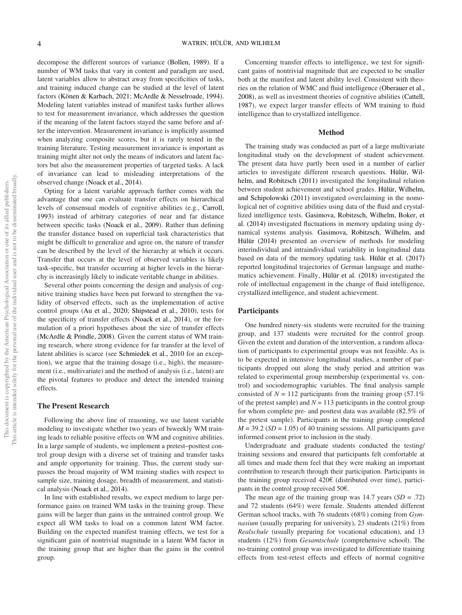decompose the different sources of variance (Bollen, 1989). If a number of WM tasks that vary in content and paradigm are used, latent variables allow to abstract away from specificities of tasks, and training induced change can be studied at the level of latent factors (Könen & Karbach, 2021; McArdle & Nesselroade, 1994). Modeling latent variables instead of manifest tasks further allows to test for measurement invariance, which addresses the question if the meaning of the latent factors stayed the same before and after the intervention. Measurement invariance is implicitly assumed when analyzing composite scores, but it is rarely tested in the training literature. Testing measurement invariance is important as training might alter not only the means of indicators and latent factors but also the measurement properties of targeted tasks. A lack of invariance can lead to misleading interpretations of the observed change (Noack et al., 2014).

Opting for a latent variable approach further comes with the advantage that one can evaluate transfer effects on hierarchical levels of consensual models of cognitive abilities (e.g., Carroll, 1993) instead of arbitrary categories of near and far distance between specific tasks (Noack et al., 2009). Rather than defining the transfer distance based on superficial task characteristics that might be difficult to generalize and agree on, the nature of transfer can be described by the level of the hierarchy at which it occurs. Transfer that occurs at the level of observed variables is likely task-specific, but transfer occurring at higher levels in the hierarchy is increasingly likely to indicate veritable change in abilities.

Several other points concerning the design and analysis of cognitive training studies have been put forward to strengthen the validity of observed effects, such as the implementation of active control groups (Au et al., 2020; Shipstead et al., 2010), tests for the specificity of transfer effects (Noack et al., 2014), or the formulation of a priori hypotheses about the size of transfer effects (McArdle & Prindle, 2008). Given the current status of WM training research, where strong evidence for far transfer at the level of latent abilities is scarce (see Schmiedek et al., 2010 for an exception), we argue that the training dosage (i.e., high), the measurement (i.e., multivariate) and the method of analysis (i.e., latent) are the pivotal features to produce and detect the intended training effects.

# The Present Research

Following the above line of reasoning, we use latent variable modeling to investigate whether two years of biweekly WM training leads to reliable positive effects on WM and cognitive abilities. In a large sample of students, we implement a pretest–posttest control group design with a diverse set of training and transfer tasks and ample opportunity for training. Thus, the current study surpasses the broad majority of WM training studies with respect to sample size, training dosage, breadth of measurement, and statistical analysis (Noack et al., 2014).

In line with established results, we expect medium to large performance gains on trained WM tasks in the training group. These gains will be larger than gains in the untrained control group. We expect all WM tasks to load on a common latent WM factor. Building on the expected manifest training effects, we test for a significant gain of nontrivial magnitude in a latent WM factor in the training group that are higher than the gains in the control group.

Concerning transfer effects to intelligence, we test for significant gains of nontrivial magnitude that are expected to be smaller both at the manifest and latent ability level. Consistent with theories on the relation of WMC and fluid intelligence (Oberauer et al., 2008), as well as investment theories of cognitive abilities (Cattell, 1987), we expect larger transfer effects of WM training to fluid intelligence than to crystallized intelligence.

#### Method

The training study was conducted as part of a large multivariate longitudinal study on the development of student achievement. The present data have partly been used in a number of earlier articles to investigate different research questions. Hülür, Wilhelm, and Robitzsch (2011) investigated the longitudinal relation between student achievement and school grades. Hülür, Wilhelm, and Schipolowski (2011) investigated overclaiming in the nomological net of cognitive abilities using data of the fluid and crystallized intelligence tests. Gasimova, Robitzsch, Wilhelm, Boker, et al. (2014) investigated fluctuations in memory updating using dynamical systems analysis. Gasimova, Robitzsch, Wilhelm, and Hülür (2014) presented an overview of methods for modeling interindividual and intraindividual variability in longitudinal data based on data of the memory updating task. Hülür et al. (2017) reported longitudinal trajectories of German language and mathematics achievement. Finally, Hülür et al. (2018) investigated the role of intellectual engagement in the change of fluid intelligence, crystallized intelligence, and student achievement.

#### **Participants**

One hundred ninety-six students were recruited for the training group, and 137 students were recruited for the control group. Given the extent and duration of the intervention, a random allocation of participants to experimental groups was not feasible. As is to be expected in intensive longitudinal studies, a number of participants dropped out along the study period and attrition was related to experimental group membership (experimental vs. control) and sociodemographic variables. The final analysis sample consisted of  $N = 112$  participants from the training group (57.1%) of the pretest sample) and  $N = 113$  participants in the control group for whom complete pre- and posttest data was available (82.5% of the pretest sample). Participants in the training group completed  $M = 39.2$  (SD = 1.05) of 40 training sessions. All participants gave informed consent prior to inclusion in the study.

Undergraduate and graduate students conducted the testing/ training sessions and ensured that participants felt comfortable at all times and made them feel that they were making an important contribution to research through their participation. Participants in the training group received  $420 \epsilon$  (distributed over time), participants in the control group received  $50\epsilon$ .

The mean age of the training group was  $14.7$  years  $(SD = .72)$ and 72 students (64%) were female. Students attended different German school tracks, with 76 students (68%) coming from Gymnasium (usually preparing for university), 23 students (21%) from Realschule (usually preparing for vocational education), and 13 students (12%) from Gesamtschule (comprehensive school). The no-training control group was investigated to differentiate training effects from test-retest effects and effects of normal cognitive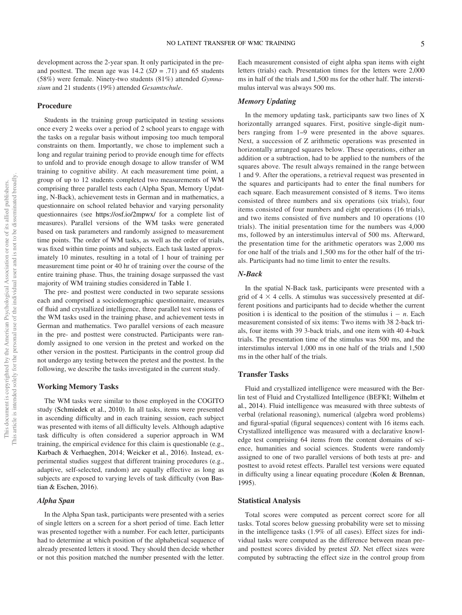development across the 2-year span. It only participated in the preand posttest. The mean age was  $14.2$  ( $SD = .71$ ) and 65 students (58%) were female. Ninety-two students (81%) attended Gymnasium and 21 students (19%) attended Gesamtschule.

# Procedure

Students in the training group participated in testing sessions once every 2 weeks over a period of 2 school years to engage with the tasks on a regular basis without imposing too much temporal constraints on them. Importantly, we chose to implement such a long and regular training period to provide enough time for effects to unfold and to provide enough dosage to allow transfer of WM training to cognitive ability. At each measurement time point, a group of up to 12 students completed two measurements of WM comprising three parallel tests each (Alpha Span, Memory Updating, N-Back), achievement tests in German and in mathematics, a questionnaire on school related behavior and varying personality questionnaires (see https://osf.io/2mpwx/ for a complete list of measures). Parallel versions of the WM tasks were generated based on task parameters and randomly assigned to measurement time points. The order of WM tasks, as well as the order of trials, was fixed within time points and subjects. Each task lasted approximately 10 minutes, resulting in a total of 1 hour of training per measurement time point or 40 hr of training over the course of the entire training phase. Thus, the training dosage surpassed the vast majority of WM training studies considered in Table 1.

The pre- and posttest were conducted in two separate sessions each and comprised a sociodemographic questionnaire, measures of fluid and crystallized intelligence, three parallel test versions of the WM tasks used in the training phase, and achievement tests in German and mathematics. Two parallel versions of each measure in the pre- and posttest were constructed. Participants were randomly assigned to one version in the pretest and worked on the other version in the posttest. Participants in the control group did not undergo any testing between the pretest and the posttest. In the following, we describe the tasks investigated in the current study.

#### Working Memory Tasks

The WM tasks were similar to those employed in the COGITO study (Schmiedek et al., 2010). In all tasks, items were presented in ascending difficulty and in each training session, each subject was presented with items of all difficulty levels. Although adaptive task difficulty is often considered a superior approach in WM training, the empirical evidence for this claim is questionable (e.g., Karbach & Verhaeghen, 2014; Weicker et al., 2016). Instead, experimental studies suggest that different training procedures (e.g., adaptive, self-selected, random) are equally effective as long as subjects are exposed to varying levels of task difficulty (von Bastian & Eschen, 2016).

# Alpha Span

In the Alpha Span task, participants were presented with a series of single letters on a screen for a short period of time. Each letter was presented together with a number. For each letter, participants had to determine at which position of the alphabetical sequence of already presented letters it stood. They should then decide whether or not this position matched the number presented with the letter.

Each measurement consisted of eight alpha span items with eight letters (trials) each. Presentation times for the letters were 2,000 ms in half of the trials and 1,500 ms for the other half. The interstimulus interval was always 500 ms.

# Memory Updating

In the memory updating task, participants saw two lines of X horizontally arranged squares. First, positive single-digit numbers ranging from 1–9 were presented in the above squares. Next, a succession of Z arithmetic operations was presented in horizontally arranged squares below. These operations, either an addition or a subtraction, had to be applied to the numbers of the squares above. The result always remained in the range between 1 and 9. After the operations, a retrieval request was presented in the squares and participants had to enter the final numbers for each square. Each measurement consisted of 8 items. Two items consisted of three numbers and six operations (six trials), four items consisted of four numbers and eight operations (16 trials), and two items consisted of five numbers and 10 operations (10 trials). The initial presentation time for the numbers was 4,000 ms, followed by an interstimulus interval of 500 ms. Afterward, the presentation time for the arithmetic operators was 2,000 ms for one half of the trials and 1,500 ms for the other half of the trials. Participants had no time limit to enter the results.

# N-Back

In the spatial N-Back task, participants were presented with a grid of  $4 \times 4$  cells. A stimulus was successively presented at different positions and participants had to decide whether the current position i is identical to the position of the stimulus  $i - n$ . Each measurement consisted of six items: Two items with 38 2-back trials, four items with 39 3-back trials, and one item with 40 4-back trials. The presentation time of the stimulus was 500 ms, and the interstimulus interval 1,000 ms in one half of the trials and 1,500 ms in the other half of the trials.

#### Transfer Tasks

Fluid and crystallized intelligence were measured with the Berlin test of Fluid and Crystallized Intelligence (BEFKI; Wilhelm et al., 2014). Fluid intelligence was measured with three subtests of verbal (relational reasoning), numerical (algebra word problems) and figural-spatial (figural sequences) content with 16 items each. Crystallized intelligence was measured with a declarative knowledge test comprising 64 items from the content domains of science, humanities and social sciences. Students were randomly assigned to one of two parallel versions of both tests at pre- and posttest to avoid retest effects. Parallel test versions were equated in difficulty using a linear equating procedure (Kolen & Brennan, 1995).

# Statistical Analysis

Total scores were computed as percent correct score for all tasks. Total scores below guessing probability were set to missing in the intelligence tasks (1.9% of all cases). Effect sizes for individual tasks were computed as the difference between mean preand posttest scores divided by pretest SD. Net effect sizes were computed by subtracting the effect size in the control group from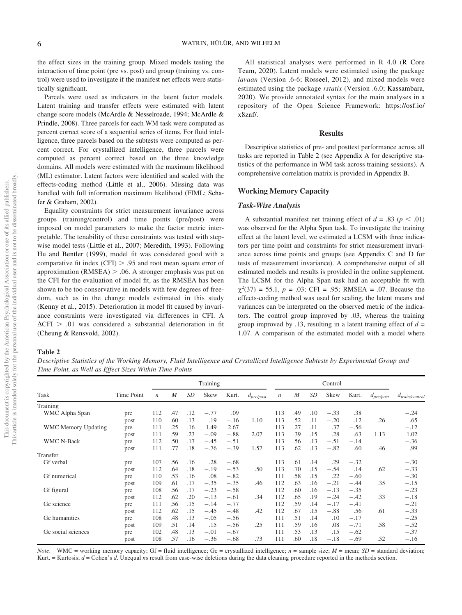the effect sizes in the training group. Mixed models testing the interaction of time point (pre vs. post) and group (training vs. control) were used to investigate if the manifest net effects were statistically significant.

Parcels were used as indicators in the latent factor models. Latent training and transfer effects were estimated with latent change score models (McArdle & Nesselroade, 1994; McArdle & Prindle, 2008). Three parcels for each WM task were computed as percent correct score of a sequential series of items. For fluid intelligence, three parcels based on the subtests were computed as percent correct. For crystallized intelligence, three parcels were computed as percent correct based on the three knowledge domains. All models were estimated with the maximum likelihood (ML) estimator. Latent factors were identified and scaled with the effects-coding method (Little et al., 2006). Missing data was handled with full information maximum likelihood (FIML; Schafer & Graham, 2002).

Equality constraints for strict measurement invariance across groups (training/control) and time points (pre/post) were imposed on model parameters to make the factor metric interpretable. The tenability of these constraints was tested with stepwise model tests (Little et al., 2007; Meredith, 1993). Following Hu and Bentler (1999), model fit was considered good with a comparative fit index  $(CFI) > .95$  and root mean square error of approximation (RMSEA)  $> .06$ . A stronger emphasis was put on the CFI for the evaluation of model fit, as the RMSEA has been shown to be too conservative in models with few degrees of freedom, such as in the change models estimated in this study (Kenny et al., 2015). Deterioration in model fit caused by invariance constraints were investigated via differences in CFI. A  $\Delta$ CFI > .01 was considered a substantial deterioration in fit (Cheung & Rensvold, 2002).

All statistical analyses were performed in R 4.0 (R Core Team, 2020). Latent models were estimated using the package lavaan (Version .6-6; Rosseel, 2012), and mixed models were estimated using the package rstatix (Version .6.0; Kassambara, 2020). We provide annotated syntax for the main analyses in a repository of the Open Science Framework: https://osf.io/ x8znf/.

#### Results

Descriptive statistics of pre- and posttest performance across all tasks are reported in Table 2 (see Appendix A for descriptive statistics of the performance in WM task across training sessions). A comprehensive correlation matrix is provided in Appendix B.

# Working Memory Capacity

# Task-Wise Analysis

A substantial manifest net training effect of  $d = .83$  ( $p < .01$ ) was observed for the Alpha Span task. To investigate the training effect at the latent level, we estimated a LCSM with three indicators per time point and constraints for strict measurement invariance across time points and groups (see Appendix C and D for tests of measurement invariance). A comprehensive output of all estimated models and results is provided in the online supplement. The LCSM for the Alpha Span task had an acceptable fit with  $\chi^2(37) = 55.1, p = .03$ ; CFI = .95; RMSEA = .07. Because the effects-coding method was used for scaling, the latent means and variances can be interpreted on the observed metric of the indicators. The control group improved by .03, whereas the training group improved by .13, resulting in a latent training effect of  $d =$ 1.07. A comparison of the estimated model with a model where

# Table 2

Descriptive Statistics of the Working Memory, Fluid Intelligence and Crystallized Intelligence Subtests by Experimental Group and Time Point, as Well as Effect Sizes Within Time Points

|                            |            |                  |     | Training |        |        |                |            |     |     |        |        |                |                            |
|----------------------------|------------|------------------|-----|----------|--------|--------|----------------|------------|-----|-----|--------|--------|----------------|----------------------------|
| Task                       | Time Point | $\boldsymbol{n}$ | M   | SD       | Skew   | Kurt.  | $d_{pre/post}$ | $\sqrt{n}$ | M   | SD  | Skew   | Kurt.  | $d_{pre/post}$ | $d_{\text{train/control}}$ |
| Training                   |            |                  |     |          |        |        |                |            |     |     |        |        |                |                            |
| WMC Alpha Span             | pre        | 112              | .47 | .12      | $-.77$ | .09    |                | 113        | .49 | .10 | $-.33$ | .38    |                | $-.24$                     |
|                            | post       | 110              | .60 | .13      | .19    | $-.16$ | 1.10           | 113        | .52 | .11 | $-.20$ | .12    | .26            | .65                        |
| <b>WMC Memory Updating</b> | pre        | 111              | .25 | .16      | 1.49   | 2.67   |                | 113        | .27 | .11 | .37    | $-.56$ |                | $-.12$                     |
|                            | post       | 111              | .59 | .23      | $-.09$ | $-.88$ | 2.07           | 113        | .39 | .15 | .28    | .63    | 1.13           | 1.02                       |
| <b>WMC N-Back</b>          | pre        | 112              | .50 | .17      | $-.45$ | $-.51$ |                | 113        | .56 | .13 | $-.51$ | $-.14$ |                | $-.36$                     |
|                            | post       | 111              | .77 | .18      | $-.76$ | $-.39$ | 1.57           | 113        | .62 | .13 | $-.82$ | .60    | .46            | .99                        |
| Transfer                   |            |                  |     |          |        |        |                |            |     |     |        |        |                |                            |
| Gf verbal                  | pre        | 107              | .56 | .16      | .28    | $-.68$ |                | 113        | .61 | .14 | .29    | $-.32$ |                | $-.30$                     |
|                            | post       | 112              | .64 | .18      | $-.19$ | $-.53$ | .50            | 113        | .70 | .15 | $-.54$ | .14    | .62            | $-.33$                     |
| Gf numerical               | pre        | 110              | .53 | .16      | .08    | $-.82$ |                | 111        | .58 | .15 | .22    | $-.60$ |                | $-.30$                     |
|                            | post       | 109              | .61 | .17      | $-.35$ | $-.35$ | .46            | 112        | .63 | .16 | $-.21$ | $-.44$ | .35            | $-.15$                     |
| Gf figural                 | pre        | 108              | .56 | .17      | $-.23$ | $-.58$ |                | 112        | .60 | .16 | $-.13$ | $-.35$ |                | $-.23$                     |
|                            | post       | 112              | .62 | .20      | $-.13$ | $-.61$ | .34            | 112        | .65 | .19 | $-.24$ | $-.42$ | .33            | $-.18$                     |
| Gc science                 | pre        | 111              | .56 | .15      | $-.14$ | $-.77$ |                | 112        | .59 | .14 | $-.17$ | $-.41$ |                | $-.21$                     |
|                            | post       | 112              | .62 | .15      | $-.45$ | $-.48$ | .42            | 112        | .67 | .15 | $-.88$ | .56    | .61            | $-.33$                     |
| Gc humanities              | pre        | 108              | .48 | .13      | $-.05$ | $-.56$ |                | 111        | .51 | .14 | .10    | $-.17$ |                | $-.25$                     |
|                            | post       | 109              | .51 | .14      | .15    | $-.56$ | .25            | 111        | .59 | .16 | .08    | $-.71$ | .58            | $-.52$                     |
| Gc social sciences         | pre        | 102              | .48 | .13      | $-.01$ | $-.67$ |                | 111        | .53 | .13 | .15    | $-.62$ |                | $-.37$                     |
|                            | post       | 108              | .57 | .16      | $-.36$ | $-.68$ | .73            | 111        | .60 | .18 | $-.18$ | $-.69$ | .52            | $-.16$                     |

*Note.* WMC = working memory capacity; Gf = fluid intelligence; Gc = crystallized intelligence;  $n =$  sample size;  $M =$  mean;  $SD =$  standard deviation; Kurt. = Kurtosis;  $d$  = Cohen's d. Unequal ns result from case-wise deletions during the data cleaning procedure reported in the methods section.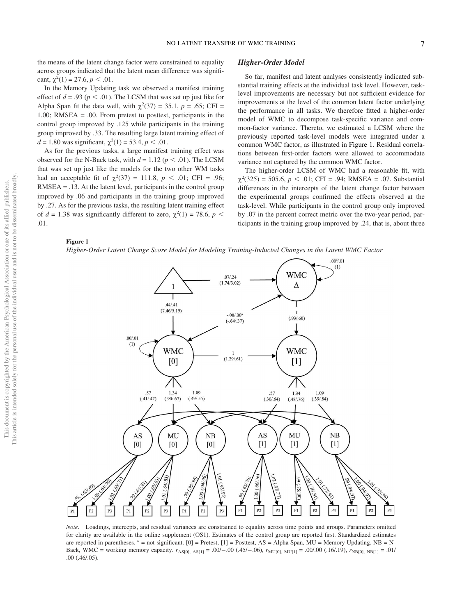the means of the latent change factor were constrained to equality across groups indicated that the latent mean difference was significant,  $\chi^2(1) = 27.6, p < .01$ .

In the Memory Updating task we observed a manifest training effect of  $d = .93$  ( $p < .01$ ). The LCSM that was set up just like for Alpha Span fit the data well, with  $\chi^2(37) = 35.1$ ,  $p = .65$ ; CFI = 1.00; RMSEA = .00. From pretest to posttest, participants in the control group improved by .125 while participants in the training group improved by .33. The resulting large latent training effect of  $d = 1.80$  was significant,  $\chi^2(1) = 53.4, p < .01$ .

As for the previous tasks, a large manifest training effect was observed for the N-Back task, with  $d = 1.12$  ( $p < .01$ ). The LCSM that was set up just like the models for the two other WM tasks had an acceptable fit of  $\chi^2(37) = 111.8$ ,  $p < .01$ ; CFI = .96; RMSEA = .13. At the latent level, participants in the control group improved by .06 and participants in the training group improved by .27. As for the previous tasks, the resulting latent training effect of  $d = 1.38$  was significantly different to zero,  $\chi^2(1) = 78.6$ ,  $p <$ .01.

#### Higher-Order Model

So far, manifest and latent analyses consistently indicated substantial training effects at the individual task level. However, tasklevel improvements are necessary but not sufficient evidence for improvements at the level of the common latent factor underlying the performance in all tasks. We therefore fitted a higher-order model of WMC to decompose task-specific variance and common-factor variance. Thereto, we estimated a LCSM where the previously reported task-level models were integrated under a common WMC factor, as illustrated in Figure 1. Residual correlations between first-order factors were allowed to accommodate variance not captured by the common WMC factor.

The higher-order LCSM of WMC had a reasonable fit, with  $\chi^2(325) = 505.6, p < .01$ ; CFI = .94; RMSEA = .07. Substantial differences in the intercepts of the latent change factor between the experimental groups confirmed the effects observed at the task-level. While participants in the control group only improved by .07 in the percent correct metric over the two-year period, participants in the training group improved by .24, that is, about three

# Figure 1

Higher-Order Latent Change Score Model for Modeling Training-Inducted Changes in the Latent WMC Factor



Note. Loadings, intercepts, and residual variances are constrained to equality across time points and groups. Parameters omitted for clarity are available in the online supplement (OS1). Estimates of the control group are reported first. Standardized estimates are reported in parentheses.  $a =$  not significant. [0] = Pretest, [1] = Posttest, AS = Alpha Span, MU = Memory Updating, NB = N-Back, WMC = working memory capacity.  $r_{AS[0], AS[1]} = .00/-.00$  (.45/-.06),  $r_{MU[0], MU[1]} = .00/.00$  (.16/.19),  $r_{NB[0], NB[1]} = .01/$ .00 (.46/.05).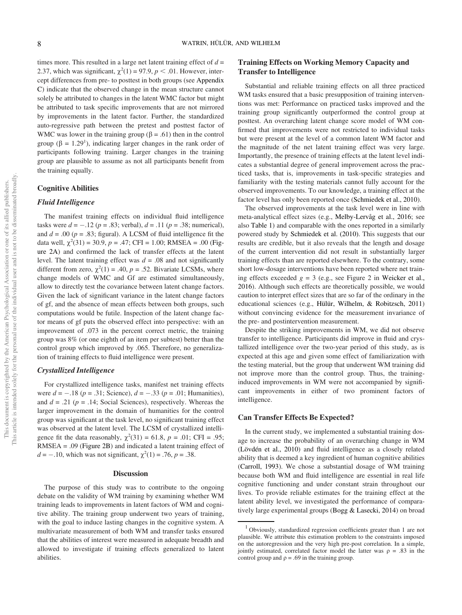times more. This resulted in a large net latent training effect of  $d =$ 2.37, which was significant,  $\chi^2(1) = 97.9$ ,  $p < .01$ . However, intercept differences from pre- to posttest in both groups (see Appendix C) indicate that the observed change in the mean structure cannot solely be attributed to changes in the latent WMC factor but might be attributed to task specific improvements that are not mirrored by improvements in the latent factor. Further, the standardized auto-regressive path between the pretest and posttest factor of WMC was lower in the training group ( $\beta$  = .61) then in the control group ( $\beta = 1.29<sup>1</sup>$ ), indicating larger changes in the rank order of participants following training. Larger changes in the training group are plausible to assume as not all participants benefit from the training equally.

# Cognitive Abilities

#### Fluid Intelligence

The manifest training effects on individual fluid intelligence tasks were  $d = -.12$  ( $p = .83$ ; verbal),  $d = .11$  ( $p = .38$ ; numerical), and  $d = .00$  ( $p = .83$ ; figural). A LCSM of fluid intelligence fit the data well,  $\chi^2(31) = 30.9$ ,  $p = .47$ ; CFI = 1.00; RMSEA = .00 (Figure 2A) and confirmed the lack of transfer effects at the latent level. The latent training effect was  $d = .08$  and not significantly different from zero,  $\chi^2(1) = .40$ ,  $p = .52$ . Bivariate LCSMs, where change models of WMC and Gf are estimated simultaneously, allow to directly test the covariance between latent change factors. Given the lack of significant variance in the latent change factors of gf, and the absence of mean effects between both groups, such computations would be futile. Inspection of the latent change factor means of gf puts the observed effect into perspective: with an improvement of .073 in the percent correct metric, the training group was 8% (or one eighth of an item per subtest) better than the control group which improved by .065. Therefore, no generalization of training effects to fluid intelligence were present.

# Crystallized Intelligence

For crystallized intelligence tasks, manifest net training effects were  $d = -.18$  ( $p = .31$ ; Science),  $d = -.33$  ( $p = .01$ ; Humanities), and  $d = .21$  ( $p = .14$ ; Social Sciences), respectively. Whereas the larger improvement in the domain of humanities for the control group was significant at the task level, no significant training effect was observed at the latent level. The LCSM of crystallized intelligence fit the data reasonably,  $\chi^2(31) = 61.8$ ,  $p = .01$ ; CFI = .95; RMSEA = .09 (Figure 2B) and indicated a latent training effect of  $d = -.10$ , which was not significant,  $\chi^2(1) = .76$ ,  $p = .38$ .

# **Discussion**

The purpose of this study was to contribute to the ongoing debate on the validity of WM training by examining whether WM training leads to improvements in latent factors of WM and cognitive ability. The training group underwent two years of training, with the goal to induce lasting changes in the cognitive system. A multivariate measurement of both WM and transfer tasks ensured that the abilities of interest were measured in adequate breadth and allowed to investigate if training effects generalized to latent abilities.

# Training Effects on Working Memory Capacity and Transfer to Intelligence

Substantial and reliable training effects on all three practiced WM tasks ensured that a basic presupposition of training interventions was met: Performance on practiced tasks improved and the training group significantly outperformed the control group at posttest. An overarching latent change score model of WM confirmed that improvements were not restricted to individual tasks but were present at the level of a common latent WM factor and the magnitude of the net latent training effect was very large. Importantly, the presence of training effects at the latent level indicates a substantial degree of general improvement across the practiced tasks, that is, improvements in task-specific strategies and familiarity with the testing materials cannot fully account for the observed improvements. To our knowledge, a training effect at the factor level has only been reported once (Schmiedek et al., 2010).

The observed improvements at the task level were in line with meta-analytical effect sizes (e.g., Melby-Lervåg et al., 2016; see also Table 1) and comparable with the ones reported in a similarly powered study by Schmiedek et al. (2010). This suggests that our results are credible, but it also reveals that the length and dosage of the current intervention did not result in substantially larger training effects than are reported elsewhere. To the contrary, some short low-dosage interventions have been reported where net training effects exceeded  $g = 3$  (e.g., see Figure 2 in Weicker et al., 2016). Although such effects are theoretically possible, we would caution to interpret effect sizes that are so far of the ordinary in the educational sciences (e.g., Hülür, Wilhelm, & Robitzsch, 2011) without convincing evidence for the measurement invariance of the pre- and postintervention measurement.

Despite the striking improvements in WM, we did not observe transfer to intelligence. Participants did improve in fluid and crystallized intelligence over the two-year period of this study, as is expected at this age and given some effect of familiarization with the testing material, but the group that underwent WM training did not improve more than the control group. Thus, the traininginduced improvements in WM were not accompanied by significant improvements in either of two prominent factors of intelligence.

# Can Transfer Effects Be Expected?

In the current study, we implemented a substantial training dosage to increase the probability of an overarching change in WM (Lövdén et al., 2010) and fluid intelligence as a closely related ability that is deemed a key ingredient of human cognitive abilities (Carroll, 1993). We chose a substantial dosage of WM training because both WM and fluid intelligence are essential in real life cognitive functioning and under constant strain throughout our lives. To provide reliable estimates for the training effect at the latent ability level, we investigated the performance of comparatively large experimental groups (Bogg & Lasecki, 2014) on broad

<sup>1</sup> Obviously, standardized regression coefficients greater than 1 are not plausible. We attribute this estimation problem to the constraints imposed on the autoregression and the very high pre-post correlation. In a simple, jointly estimated, correlated factor model the latter was  $\rho = .83$  in the control group and  $\rho = .69$  in the training group.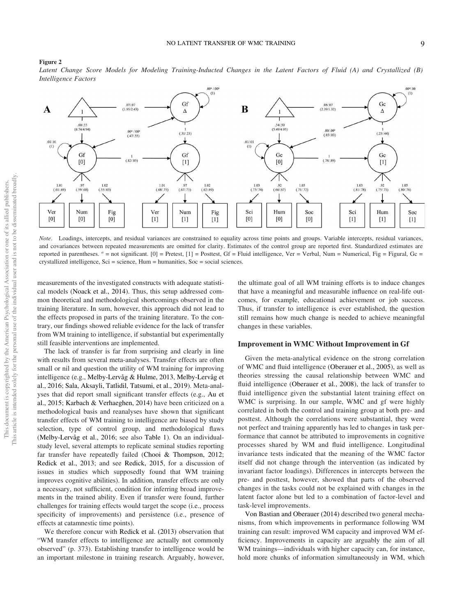#### Figure 2

Latent Change Score Models for Modeling Training-Inducted Changes in the Latent Factors of Fluid (A) and Crystallized (B) Intelligence Factors



Note. Loadings, intercepts, and residual variances are constrained to equality across time points and groups. Variable intercepts, residual variances, and covariances between repeated measurements are omitted for clarity. Estimates of the control group are reported first. Standardized estimates are reported in parentheses.  $a = not significant$ . [0] = Pretest, [1] = Posttest, Gf = Fluid intelligence, Ver = Verbal, Num = Numerical, Fig = Figural, Gc =  $crystalized intelligence, Sci = science, Hum = humanities, Soc = social sciences.$ 

measurements of the investigated constructs with adequate statistical models (Noack et al., 2014). Thus, this setup addressed common theoretical and methodological shortcomings observed in the training literature. In sum, however, this approach did not lead to the effects proposed in parts of the training literature. To the contrary, our findings showed reliable evidence for the lack of transfer from WM training to intelligence, if substantial but experimentally still feasible interventions are implemented.

The lack of transfer is far from surprising and clearly in line with results from several meta-analyses. Transfer effects are often small or nil and question the utility of WM training for improving intelligence (e.g., Melby-Lervåg & Hulme, 2013, Melby-Lervåg et al., 2016; Sala, Aksayli, Tatlidil, Tatsumi, et al., 2019). Meta-analyses that did report small significant transfer effects (e.g., Au et al., 2015; Karbach & Verhaeghen, 2014) have been criticized on a methodological basis and reanalyses have shown that significant transfer effects of WM training to intelligence are biased by study selection, type of control group, and methodological flaws (Melby-Lervåg et al., 2016; see also Table 1). On an individualstudy level, several attempts to replicate seminal studies reporting far transfer have repeatedly failed (Chooi & Thompson, 2012; Redick et al., 2013; and see Redick, 2015, for a discussion of issues in studies which supposedly found that WM training improves cognitive abilities). In addition, transfer effects are only a necessary, not sufficient, condition for inferring broad improvements in the trained ability. Even if transfer were found, further challenges for training effects would target the scope (i.e., process specificity of improvements) and persistence (i.e., presence of effects at catamnestic time points).

We therefore concur with Redick et al. (2013) observation that "WM transfer effects to intelligence are actually not commonly observed" (p. 373). Establishing transfer to intelligence would be an important milestone in training research. Arguably, however, the ultimate goal of all WM training efforts is to induce changes that have a meaningful and measurable influence on real-life outcomes, for example, educational achievement or job success. Thus, if transfer to intelligence is ever established, the question still remains how much change is needed to achieve meaningful changes in these variables.

#### Improvement in WMC Without Improvement in Gf

Given the meta-analytical evidence on the strong correlation of WMC and fluid intelligence (Oberauer et al., 2005), as well as theories stressing the causal relationship between WMC and fluid intelligence (Oberauer et al., 2008), the lack of transfer to fluid intelligence given the substantial latent training effect on WMC is surprising. In our sample, WMC and gf were highly correlated in both the control and training group at both pre- and posttest. Although the correlations were substantial, they were not perfect and training apparently has led to changes in task performance that cannot be attributed to improvements in cognitive processes shared by WM and fluid intelligence. Longitudinal invariance tests indicated that the meaning of the WMC factor itself did not change through the intervention (as indicated by invariant factor loadings). Differences in intercepts between the pre- and posttest, however, showed that parts of the observed changes in the tasks could not be explained with changes in the latent factor alone but led to a combination of factor-level and task-level improvements.

Von Bastian and Oberauer (2014) described two general mechanisms, from which improvements in performance following WM training can result: improved WM capacity and improved WM efficiency. Improvements in capacity are arguably the aim of all WM trainings—individuals with higher capacity can, for instance, hold more chunks of information simultaneously in WM, which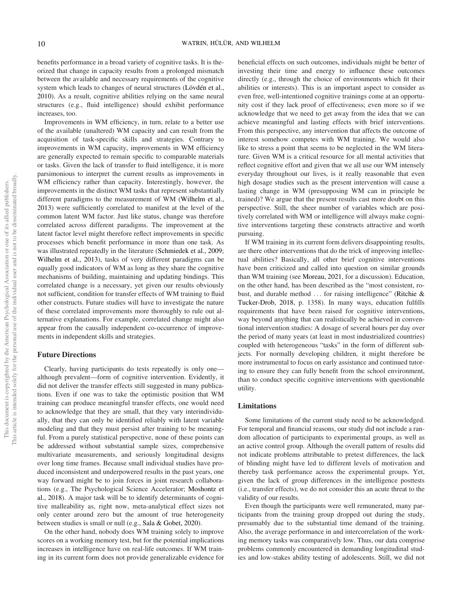benefits performance in a broad variety of cognitive tasks. It is theorized that change in capacity results from a prolonged mismatch between the available and necessary requirements of the cognitive system which leads to changes of neural structures (Lövdén et al., 2010). As a result, cognitive abilities relying on the same neural structures (e.g., fluid intelligence) should exhibit performance increases, too.

Improvements in WM efficiency, in turn, relate to a better use of the available (unaltered) WM capacity and can result from the acquisition of task-specific skills and strategies. Contrary to improvements in WM capacity, improvements in WM efficiency are generally expected to remain specific to comparable materials or tasks. Given the lack of transfer to fluid intelligence, it is more parsimonious to interpret the current results as improvements in WM efficiency rather than capacity. Interestingly, however, the improvements in the distinct WM tasks that represent substantially different paradigms to the measurement of WM (Wilhelm et al., 2013) were sufficiently correlated to manifest at the level of the common latent WM factor. Just like status, change was therefore correlated across different paradigms. The improvement at the latent factor level might therefore reflect improvements in specific processes which benefit performance in more than one task. As was illustrated repeatedly in the literature (Schmiedek et al., 2009; Wilhelm et al., 2013), tasks of very different paradigms can be equally good indicators of WM as long as they share the cognitive mechanisms of building, maintaining and updating bindings. This correlated change is a necessary, yet given our results obviously not sufficient, condition for transfer effects of WM training to fluid other constructs. Future studies will have to investigate the nature of these correlated improvements more thoroughly to rule out alternative explanations. For example, correlated change might also appear from the causally independent co-occurrence of improvements in independent skills and strategies.

# Future Directions

Clearly, having participants do tests repeatedly is only one although prevalent—form of cognitive intervention. Evidently, it did not deliver the transfer effects still suggested in many publications. Even if one was to take the optimistic position that WM training can produce meaningful transfer effects, one would need to acknowledge that they are small, that they vary interindividually, that they can only be identified reliably with latent variable modeling and that they must persist after training to be meaningful. From a purely statistical perspective, none of these points can be addressed without substantial sample sizes, comprehensive multivariate measurements, and seriously longitudinal designs over long time frames. Because small individual studies have produced inconsistent and underpowered results in the past years, one way forward might be to join forces in joint research collaborations (e.g., The Psychological Science Accelerator; Moshontz et al., 2018). A major task will be to identify determinants of cognitive malleability as, right now, meta-analytical effect sizes not only center around zero but the amount of true heterogeneity between studies is small or null (e.g., Sala & Gobet, 2020).

On the other hand, nobody does WM training solely to improve scores on a working memory test, but for the potential implications increases in intelligence have on real-life outcomes. If WM training in its current form does not provide generalizable evidence for

beneficial effects on such outcomes, individuals might be better of investing their time and energy to influence these outcomes directly (e.g., through the choice of environments which fit their abilities or interests). This is an important aspect to consider as even free, well-intentioned cognitive trainings come at an opportunity cost if they lack proof of effectiveness; even more so if we acknowledge that we need to get away from the idea that we can achieve meaningful and lasting effects with brief interventions. From this perspective, any intervention that affects the outcome of interest somehow competes with WM training. We would also like to stress a point that seems to be neglected in the WM literature. Given WM is a critical resource for all mental activities that reflect cognitive effort and given that we all use our WM intensely everyday throughout our lives, is it really reasonable that even high dosage studies such as the present intervention will cause a lasting change in WM (presupposing WM can in principle be trained)? We argue that the present results cast more doubt on this perspective. Still, the sheer number of variables which are positively correlated with WM or intelligence will always make cognitive interventions targeting these constructs attractive and worth pursuing.

If WM training in its current form delivers disappointing results, are there other interventions that do the trick of improving intellectual abilities? Basically, all other brief cognitive interventions have been criticized and called into question on similar grounds than WM training (see Moreau, 2021, for a discussion). Education, on the other hand, has been described as the "most consistent, robust, and durable method ... for raising intelligence" (Ritchie & Tucker-Drob, 2018, p. 1358). In many ways, education fulfills requirements that have been raised for cognitive interventions, way beyond anything that can realistically be achieved in conventional intervention studies: A dosage of several hours per day over the period of many years (at least in most industrialized countries) coupled with heterogeneous "tasks" in the form of different subjects. For normally developing children, it might therefore be more instrumental to focus on early assistance and continued tutoring to ensure they can fully benefit from the school environment, than to conduct specific cognitive interventions with questionable utility.

#### Limitations

Some limitations of the current study need to be acknowledged. For temporal and financial reasons, our study did not include a random allocation of participants to experimental groups, as well as an active control group. Although the overall pattern of results did not indicate problems attributable to pretest differences, the lack of blinding might have led to different levels of motivation and thereby task performance across the experimental groups. Yet, given the lack of group differences in the intelligence posttests (i.e., transfer effects), we do not consider this an acute threat to the validity of our results.

Even though the participants were well remunerated, many participants from the training group dropped out during the study, presumably due to the substantial time demand of the training. Also, the average performance in and intercorrelation of the working memory tasks was comparatively low. Thus, our data comprise problems commonly encountered in demanding longitudinal studies and low-stakes ability testing of adolescents. Still, we did not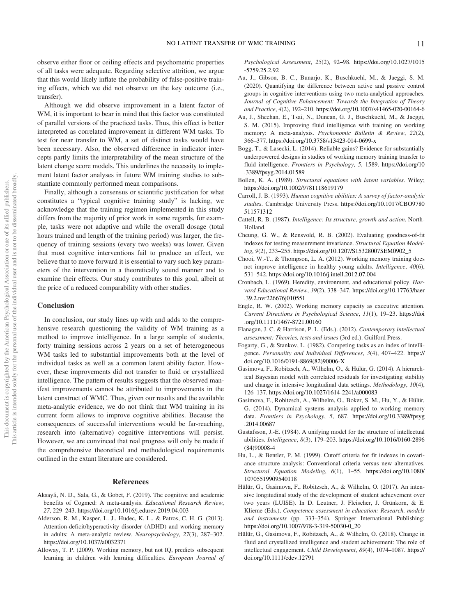observe either floor or ceiling effects and psychometric properties of all tasks were adequate. Regarding selective attrition, we argue that this would likely inflate the probability of false-positive training effects, which we did not observe on the key outcome (i.e., transfer).

Although we did observe improvement in a latent factor of WM, it is important to bear in mind that this factor was constituted of parallel versions of the practiced tasks. Thus, this effect is better interpreted as correlated improvement in different WM tasks. To test for near transfer to WM, a set of distinct tasks would have been necessary. Also, the observed difference in indicator intercepts partly limits the interpretability of the mean structure of the latent change score models. This underlines the necessity to implement latent factor analyses in future WM training studies to substantiate commonly performed mean comparisons.

Finally, although a consensus or scientific justification for what constitutes a "typical cognitive training study" is lacking, we acknowledge that the training regimen implemented in this study differs from the majority of prior work in some regards, for example, tasks were not adaptive and while the overall dosage (total hours trained and length of the training period) was larger, the frequency of training sessions (every two weeks) was lower. Given that most cognitive interventions fail to produce an effect, we believe that to move forward it is essential to vary such key parameters of the intervention in a theoretically sound manner and to examine their effects. Our study contributes to this goal, albeit at the price of a reduced comparability with other studies.

#### **Conclusion**

In conclusion, our study lines up with and adds to the comprehensive research questioning the validity of WM training as a method to improve intelligence. In a large sample of students, forty training sessions across 2 years on a set of heterogeneous WM tasks led to substantial improvements both at the level of individual tasks as well as a common latent ability factor. However, these improvements did not transfer to fluid or crystallized intelligence. The pattern of results suggests that the observed manifest improvements cannot be attributed to improvements in the latent construct of WMC. Thus, given our results and the available meta-analytic evidence, we do not think that WM training in its current form allows to improve cognitive abilities. Because the consequences of successful interventions would be far-reaching, research into (alternative) cognitive interventions will persist. However, we are convinced that real progress will only be made if the comprehensive theoretical and methodological requirements outlined in the extant literature are considered.

# References

- Aksayli, N. D., Sala, G., & Gobet, F. (2019). The cognitive and academic benefits of Cogmed: A meta-analysis. Educational Research Review, 27, 229–243. https://doi.org/10.1016/j.edurev.2019.04.003
- Alderson, R. M., Kasper, L. J., Hudec, K. L., & Patros, C. H. G. (2013). Attention-deficit/hyperactivity disorder (ADHD) and working memory in adults: A meta-analytic review. Neuropsychology, 27(3), 287–302. https://doi.org/10.1037/a0032371
- Alloway, T. P. (2009). Working memory, but not IQ, predicts subsequent learning in children with learning difficulties. European Journal of

Psychological Assessment, 25(2), 92–98. https://doi.org/10.1027/1015 -5759.25.2.92

- Au, J., Gibson, B. C., Bunarjo, K., Buschkuehl, M., & Jaeggi, S. M. (2020). Quantifying the difference between active and passive control groups in cognitive interventions using two meta-analytical approaches. Journal of Cognitive Enhancement: Towards the Integration of Theory and Practice, 4(2), 192–210. https://doi.org/10.1007/s41465-020-00164-6
- Au, J., Sheehan, E., Tsai, N., Duncan, G. J., Buschkuehl, M., & Jaeggi, S. M. (2015). Improving fluid intelligence with training on working memory: A meta-analysis. Psychonomic Bulletin & Review, 22(2), 366–377. https://doi.org/10.3758/s13423-014-0699-x
- Bogg, T., & Lasecki, L. (2014). Reliable gains? Evidence for substantially underpowered designs in studies of working memory training transfer to fluid intelligence. Frontiers in Psychology, 5, 1589. https://doi.org/10 .3389/fpsyg.2014.01589
- Bollen, K. A. (1989). Structural equations with latent variables. Wiley; https://doi.org/10.1002/9781118619179
- Carroll, J. B. (1993). Human cognitive abilities: A survey of factor-analytic studies. Cambridge University Press. https://doi.org/10.1017/CBO9780 511571312
- Cattell, R. B. (1987). Intelligence: Its structure, growth and action. North-Holland.
- Cheung, G. W., & Rensvold, R. B. (2002). Evaluating goodness-of-fit indexes for testing measurement invariance. Structural Equation Modeling, 9(2), 233–255. https://doi.org/10.1207/S15328007SEM0902\_5
- Chooi, W.-T., & Thompson, L. A. (2012). Working memory training does not improve intelligence in healthy young adults. Intelligence, 40(6), 531–542. https://doi.org/10.1016/j.intell.2012.07.004
- Cronbach, L. (1969). Heredity, environment, and educational policy. Harvard Educational Review, 39(2), 338–347. https://doi.org/10.17763/haer .39.2.nvr226676j010551
- Engle, R. W. (2002). Working memory capacity as executive attention. Current Directions in Psychological Science, 11(1), 19–23. https://doi .org/10.1111/1467-8721.00160
- Flanagan, J. C. & Harrison, P. L. (Eds.). (2012). Contemporary intellectual assessment: Theories, tests and issues (3rd ed.). Guilford Press.
- Fogarty, G., & Stankov, L. (1982). Competing tasks as an index of intelligence. Personality and Individual Differences, 3(4), 407–422. https:// doi.org/10.1016/0191-8869(82)90006-X
- Gasimova, F., Robitzsch, A., Wilhelm, O., & Hülür, G. (2014). A hierarchical Bayesian model with correlated residuals for investigating stability and change in intensive longitudinal data settings. Methodology, 10(4), 126–137. https://doi.org/10.1027/1614-2241/a000083
- Gasimova, F., Robitzsch, A., Wilhelm, O., Boker, S. M., Hu, Y., & Hülür, G. (2014). Dynamical systems analysis applied to working memory data. Frontiers in Psychology, 5, 687. https://doi.org/10.3389/fpsyg .2014.00687
- Gustafsson, J.-E. (1984). A unifying model for the structure of intellectual abilities. Intelligence, 8(3), 179–203. https://doi.org/10.1016/0160-2896 (84)90008-4
- Hu, L., & Bentler, P. M. (1999). Cutoff criteria for fit indexes in covariance structure analysis: Conventional criteria versus new alternatives. Structural Equation Modeling, 6(1), 1–55. https://doi.org/10.1080/ 10705519909540118
- Hülür, G., Gasimova, F., Robitzsch, A., & Wilhelm, O. (2017). An intensive longitudinal study of the development of student achievement over two years (LUISE). In D. Leutner, J. Fleischer, J. Grünkorn, & E. Klieme (Eds.), Competence assessment in education: Research, models and instruments (pp. 333–354). Springer International Publishing; https://doi.org/10.1007/978-3-319-50030-0\_20
- Hülür, G., Gasimova, F., Robitzsch, A., & Wilhelm, O. (2018). Change in fluid and crystallized intelligence and student achievement: The role of intellectual engagement. Child Development, 89(4), 1074–1087. https:// doi.org/10.1111/cdev.12791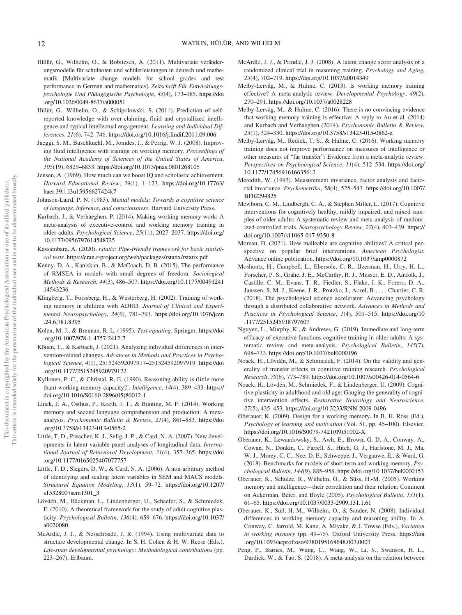- Hülür, G., Wilhelm, O., & Robitzsch, A. (2011). Multivariate veränderungsmodelle für schulnoten und schülerleistungen in deutsch und mathematik [Multivariate change models for school grades and test performance in German and mathematics]. Zeitschrift Für Entwicklungspsychologie Und Pädagogische Psychologie, 43(4), 173–185. https://doi .org/10.1026/0049-8637/a000051
- Hülür, G., Wilhelm, O., & Schipolowski, S. (2011). Prediction of selfreported knowledge with over-claiming, fluid and crystallized intelligence and typical intellectual engagement. Learning and Individual Differences, 21(6), 742–746. https://doi.org/10.1016/j.lindif.2011.09.006
- Jaeggi, S. M., Buschkuehl, M., Jonides, J., & Perrig, W. J. (2008). Improving fluid intelligence with training on working memory. Proceedings of the National Academy of Sciences of the United States of America, 105(19), 6829–6833. https://doi.org/10.1073/pnas.0801268105
- Jensen, A. (1969). How much can we boost IQ and scholastic achievement. Harvard Educational Review, 39(1), 1–123. https://doi.org/10.17763/ haer.39.1.l3u15956627424k7
- Johnson-Laird, P. N. (1983). Mental models: Towards a cognitive science of language, inference, and consciousness. Harvard University Press.
- Karbach, J., & Verhaeghen, P. (2014). Making working memory work: A meta-analysis of executive-control and working memory training in older adults. Psychological Science, 25(11), 2027–2037. https://doi.org/ 10.1177/0956797614548725
- Kassambara, A. (2020). rstatix: Pipe-friendly framework for basic statistical tests. https://cran.r-project.org/web/packages/rstatix/rstatix.pdf
- Kenny, D. A., Kaniskan, B., & McCoach, D. B. (2015). The performance of RMSEA in models with small degrees of freedom. Sociological Methods & Research, 44(3), 486–507. https://doi.org/10.1177/00491241 14543236
- Klingberg, T., Forssberg, H., & Westerberg, H. (2002). Training of working memory in children with ADHD. Journal of Clinical and Experimental Neuropsychology, 24(6), 781–791. https://doi.org/10.1076/jcen .24.6.781.8395
- Kolen, M. J., & Brennan, R. L. (1995). Test equating. Springer. https://doi .org/10.1007/978-1-4757-2412-7
- Könen, T., & Karbach, J. (2021). Analyzing individual differences in intervention-related changes. Advances in Methods and Practices in Psychological Science, 4(1), 251524592097917–251524592097919. https://doi .org/10.1177/2515245920979172
- Kyllonen, P. C., & Christal, R. E. (1990). Reasoning ability is (little more than) working-memory capacity?!. Intelligence, 14(4), 389–433. https:// doi.org/10.1016/S0160-2896(05)80012-1
- Linck, J. A., Osthus, P., Koeth, J. T., & Bunting, M. F. (2014). Working memory and second language comprehension and production: A metaanalysis. Psychonomic Bulletin & Review, 21(4), 861–883. https://doi .org/10.3758/s13423-013-0565-2
- Little, T. D., Preacher, K. J., Selig, J. P., & Card, N. A. (2007). New developments in latent variable panel analyses of longitudinal data. International Journal of Behavioral Development, 31(4), 357–365. https://doi .org/10.1177/0165025407077757
- Little, T. D., Slegers, D. W., & Card, N. A. (2006). A non-arbitrary method of identifying and scaling latent variables in SEM and MACS models. Structural Equation Modeling, 13(1), 59–72. https://doi.org/10.1207/ s15328007sem1301\_3
- Lövdén, M., Bäckman, L., Lindenberger, U., Schaefer, S., & Schmiedek, F. (2010). A theoretical framework for the study of adult cognitive plasticity. Psychological Bulletin, 136(4), 659–676. https://doi.org/10.1037/ a0020080
- McArdle, J. J., & Nesselroade, J. R. (1994). Using multivariate data to structure developmental change. In S. H. Cohen & H. W. Reese (Eds.), Life-span developmental psychology: Methodological contributions (pp. 223–267). Erlbaum.
- McArdle, J. J., & Prindle, J. J. (2008). A latent change score analysis of a randomized clinical trial in reasoning training. Psychology and Aging, 23(4), 702–719. https://doi.org/10.1037/a0014349
- Melby-Lervåg, M., & Hulme, C. (2013). Is working memory training effective? A meta-analytic review. Developmental Psychology, 49(2), 270–291. https://doi.org/10.1037/a0028228
- Melby-Lervåg, M., & Hulme, C. (2016). There is no convincing evidence that working memory training is effective: A reply to Au et al. (2014) and Karbach and Verhaeghen (2014). Psychonomic Bulletin & Review, 23(1), 324–330. https://doi.org/10.3758/s13423-015-0862-z
- Melby-Lervåg, M., Redick, T. S., & Hulme, C. (2016). Working memory training does not improve performance on measures of intelligence or other measures of "far transfer": Evidence from a meta-analytic review. Perspectives on Psychological Science, 11(4), 512–534. https://doi.org/ 10.1177/1745691616635612
- Meredith, W. (1993). Measurement invariance, factor analysis and factorial invariance. Psychometrika, 58(4), 525–543. https://doi.org/10.1007/ BF02294825
- Mewborn, C. M., Lindbergh, C. A., & Stephen Miller, L. (2017). Cognitive interventions for cognitively healthy, mildly impaired, and mixed samples of older adults: A systematic review and meta-analysis of randomized-controlled trials. Neuropsychology Review, 27(4), 403–439. https:// doi.org/10.1007/s11065-017-9350-8
- Moreau, D. (2021). How malleable are cognitive abilities? A critical perspective on popular brief interventions. American Psychologist. Advance online publication. https://doi.org/10.1037/amp0000872
- Moshontz, H., Campbell, L., Ebersole, C. R., IJzerman, H., Urry, H. L., Forscher, P. S., Grahe, J. E., McCarthy, R. J., Musser, E. D., Antfolk, J., Castille, C. M., Evans, T. R., Fiedler, S., Flake, J. K., Forero, D. A., Janssen, S. M. J., Keene, J. R., Protzko, J., Aczel, B., . . . Chartier, C. R. (2018). The psychological science accelerator: Advancing psychology through a distributed collaborative network. Advances in Methods and Practices in Psychological Science, 1(4), 501–515. https://doi.org/10 .1177/2515245918797607
- Nguyen, L., Murphy, K., & Andrews, G. (2019). Immediate and long-term efficacy of executive functions cognitive training in older adults: A systematic review and meta-analysis. Psychological Bulletin, 145(7), 698–733. https://doi.org/10.1037/bul0000196
- Noack, H., Lövdén, M., & Schmiedek, F. (2014). On the validity and generality of transfer effects in cognitive training research. Psychological Research, 78(6), 773–789. https://doi.org/10.1007/s00426-014-0564-6
- Noack, H., Lövdén, M., Schmiedek, F., & Lindenberger, U. (2009). Cognitive plasticity in adulthood and old age: Gauging the generality of cognitive intervention effects. Restorative Neurology and Neuroscience, 27(5), 435–453. https://doi.org/10.3233/RNN-2009-0496
- Oberauer, K. (2009). Design for a working memory. In B. H. Ross (Ed.), Psychology of learning and motivation (Vol. 51, pp. 45–100). Elsevier. https://doi.org/10.1016/S0079-7421(09)51002-X
- Oberauer, K., Lewandowsky, S., Awh, E., Brown, G. D. A., Conway, A., Cowan, N., Donkin, C., Farrell, S., Hitch, G. J., Hurlstone, M. J., Ma, W. J., Morey, C. C., Nee, D. E., Schweppe, J., Vergauwe, E., & Ward, G. (2018). Benchmarks for models of short-term and working memory. Psychological Bulletin, 144(9), 885–958. https://doi.org/10.1037/bul0000153
- Oberauer, K., Schulze, R., Wilhelm, O., & Süss, H.-M. (2005). Working memory and intelligence—their correlation and their relation: Comment on Ackerman, Beier, and Boyle (2005). Psychological Bulletin, 131(1), 61–65. https://doi.org/10.1037/0033-2909.131.1.61
- Oberauer, K., Süß, H.-M., Wilhelm, O., & Sander, N. (2008). Individual differences in working memory capacity and reasoning ability. In A. Conway, C. Jarrold, M. Kane, A. Miyake, & J. Towse (Eds.), Variation in working memory (pp. 49–75). Oxford University Press. https://doi .org/10.1093/acprof:oso/9780195168648.003.0003
- Peng, P., Barnes, M., Wang, C., Wang, W., Li, S., Swanson, H. L., Dardick, W., & Tao, S. (2018). A meta-analysis on the relation between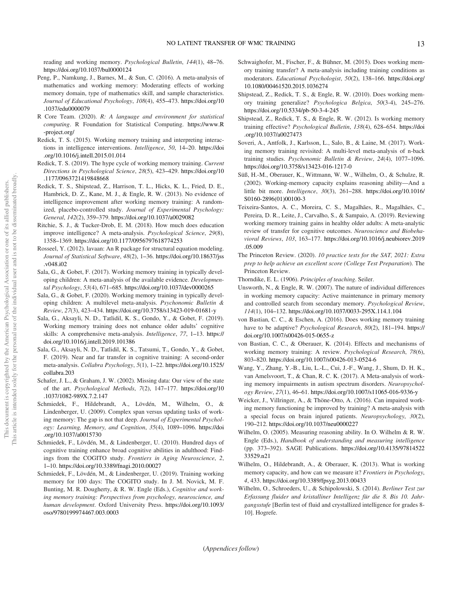reading and working memory. Psychological Bulletin, 144(1), 48–76. https://doi.org/10.1037/bul0000124

- Peng, P., Namkung, J., Barnes, M., & Sun, C. (2016). A meta-analysis of mathematics and working memory: Moderating effects of working memory domain, type of mathematics skill, and sample characteristics. Journal of Educational Psychology, 108(4), 455–473. https://doi.org/10 .1037/edu0000079
- R Core Team. (2020). R: A language and environment for statistical computing. R Foundation for Statistical Computing. https://www.R -project.org/
- Redick, T. S. (2015). Working memory training and interpreting interactions in intelligence interventions. Intelligence, 50, 14–20. https://doi .org/10.1016/j.intell.2015.01.014
- Redick, T. S. (2019). The hype cycle of working memory training. Current Directions in Psychological Science, 28(5), 423–429. https://doi.org/10 .1177/0963721419848668
- Redick, T. S., Shipstead, Z., Harrison, T. L., Hicks, K. L., Fried, D. E., Hambrick, D. Z., Kane, M. J., & Engle, R. W. (2013). No evidence of intelligence improvement after working memory training: A randomized, placebo-controlled study. Journal of Experimental Psychology: General, 142(2), 359–379. https://doi.org/10.1037/a0029082
- Ritchie, S. J., & Tucker-Drob, E. M. (2018). How much does education improve intelligence? A meta-analysis. Psychological Science, 29(8), 1358–1369. https://doi.org/10.1177/0956797618774253
- Rosseel, Y. (2012). lavaan: An R package for structural equation modeling. Journal of Statistical Software, 48(2), 1–36. https://doi.org/10.18637/jss .v048.i02
- Sala, G., & Gobet, F. (2017). Working memory training in typically developing children: A meta-analysis of the available evidence. Developmental Psychology, 53(4), 671–685. https://doi.org/10.1037/dev0000265
- Sala, G., & Gobet, F. (2020). Working memory training in typically developing children: A multilevel meta-analysis. Psychonomic Bulletin & Review, 27(3), 423–434. https://doi.org/10.3758/s13423-019-01681-y
- Sala, G., Aksayli, N. D., Tatlidil, K. S., Gondo, Y., & Gobet, F. (2019). Working memory training does not enhance older adults' cognitive skills: A comprehensive meta-analysis. Intelligence, 77, 1–13. https:// doi.org/10.1016/j.intell.2019.101386
- Sala, G., Aksayli, N. D., Tatlidil, K. S., Tatsumi, T., Gondo, Y., & Gobet, F. (2019). Near and far transfer in cognitive training: A second-order meta-analysis. Collabra Psychology, 5(1), 1–22. https://doi.org/10.1525/ collabra.203
- Schafer, J. L., & Graham, J. W. (2002). Missing data: Our view of the state of the art. Psychological Methods, 7(2), 147–177. https://doi.org/10 .1037/1082-989X.7.2.147
- Schmiedek, F., Hildebrandt, A., Lövdén, M., Wilhelm, O., & Lindenberger, U. (2009). Complex span versus updating tasks of working memory: The gap is not that deep. Journal of Experimental Psychology: Learning, Memory, and Cognition, 35(4), 1089–1096. https://doi .org/10.1037/a0015730
- Schmiedek, F., Lövdén, M., & Lindenberger, U. (2010). Hundred days of cognitive training enhance broad cognitive abilities in adulthood: Findings from the COGITO study. Frontiers in Aging Neuroscience, 2, 1–10. https://doi.org/10.3389/fnagi.2010.00027
- Schmiedek, F., Lövdén, M., & Lindenberger, U. (2019). Training working memory for 100 days: The COGITO study. In J. M. Novick, M. F. Bunting, M. R. Dougherty, & R. W. Engle (Eds.), Cognitive and working memory training: Perspectives from psychology, neuroscience, and human development. Oxford University Press. https://doi.org/10.1093/ oso/9780199974467.003.0003
- Schwaighofer, M., Fischer, F., & Bühner, M. (2015). Does working memory training transfer? A meta-analysis including training conditions as moderators. Educational Psychologist, 50(2), 138–166. https://doi.org/ 10.1080/00461520.2015.1036274
- Shipstead, Z., Redick, T. S., & Engle, R. W. (2010). Does working memory training generalize? Psychologica Belgica, 50(3-4), 245–276. https://doi.org/10.5334/pb-50-3-4-245
- Shipstead, Z., Redick, T. S., & Engle, R. W. (2012). Is working memory training effective? Psychological Bulletin, 138(4), 628–654. https://doi .org/10.1037/a0027473
- Soveri, A., Antfolk, J., Karlsson, L., Salo, B., & Laine, M. (2017). Working memory training revisited: A multi-level meta-analysis of n-back training studies. Psychonomic Bulletin & Review, 24(4), 1077–1096. https://doi.org/10.3758/s13423-016-1217-0
- Süß, H.-M., Oberauer, K., Wittmann, W. W., Wilhelm, O., & Schulze, R. (2002). Working-memory capacity explains reasoning ability—And a little bit more. Intelligence, 30(3), 261–288. https://doi.org/10.1016/ S0160-2896(01)00100-3
- Teixeira-Santos, A. C., Moreira, C. S., Magalhães, R., Magalhães, C., Pereira, D. R., Leite, J., Carvalho, S., & Sampaio, A. (2019). Reviewing working memory training gains in healthy older adults: A meta-analytic review of transfer for cognitive outcomes. Neuroscience and Biobehavioral Reviews, 103, 163–177. https://doi.org/10.1016/j.neubiorev.2019 .05.009
- The Princeton Review. (2020). 10 practice tests for the SAT, 2021: Extra prep to help achieve an excellent score (College Test Preparation). The Princeton Review.
- Thorndike, E. L. (1906). Principles of teaching. Seiler.
- Unsworth, N., & Engle, R. W. (2007). The nature of individual differences in working memory capacity: Active maintenance in primary memory and controlled search from secondary memory. Psychological Review, 114(1), 104–132. https://doi.org/10.1037/0033-295X.114.1.104
- von Bastian, C. C., & Eschen, A. (2016). Does working memory training have to be adaptive? Psychological Research, 80(2), 181-194. https:// doi.org/10.1007/s00426-015-0655-z
- von Bastian, C. C., & Oberauer, K. (2014). Effects and mechanisms of working memory training: A review. Psychological Research, 78(6), 803–820. https://doi.org/10.1007/s00426-013-0524-6
- Wang, Y., Zhang, Y.-B., Liu, L.-L., Cui, J.-F., Wang, J., Shum, D. H. K., van Amelsvoort, T., & Chan, R. C. K. (2017). A Meta-analysis of working memory impairments in autism spectrum disorders. Neuropsychology Review, 27(1), 46–61. https://doi.org/10.1007/s11065-016-9336-y
- Weicker, J., Villringer, A., & Thöne-Otto, A. (2016). Can impaired working memory functioning be improved by training? A meta-analysis with a special focus on brain injured patients. Neuropsychology, 30(2), 190–212. https://doi.org/10.1037/neu0000227
- Wilhelm, O. (2005). Measuring reasoning ability. In O. Wilhelm & R. W. Engle (Eds.), Handbook of understanding and measuring intelligence (pp. 373–392). SAGE Publications. https://doi.org/10.4135/97814522 33529.n21
- Wilhelm, O., Hildebrandt, A., & Oberauer, K. (2013). What is working memory capacity, and how can we measure it? Frontiers in Psychology, 4, 433. https://doi.org/10.3389/fpsyg.2013.00433
- Wilhelm, O., Schroeders, U., & Schipolowski, S. (2014). Berliner Test zur Erfassung fluider und kristalliner Intelligenz für die 8. Bis 10. Jahrgangsstufe [Berlin test of fluid and crystallized intelligence for grades 8- 10]. Hogrefe.

(Appendices follow)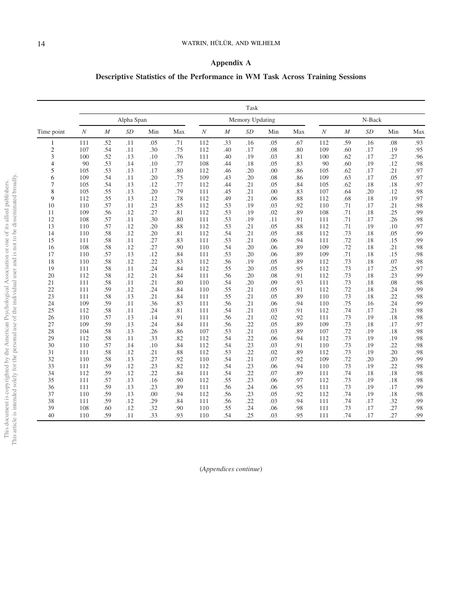# Appendix A

# Descriptive Statistics of the Performance in WM Task Across Training Sessions

|            |                  |                  |            |     |     |                  |                  | Task            |     |     |                  |                |        |     |     |
|------------|------------------|------------------|------------|-----|-----|------------------|------------------|-----------------|-----|-----|------------------|----------------|--------|-----|-----|
|            |                  |                  | Alpha Span |     |     |                  |                  | Memory Updating |     |     |                  |                | N-Back |     |     |
| Time point | $\boldsymbol{N}$ | $\boldsymbol{M}$ | SD         | Min | Max | $\boldsymbol{N}$ | $\boldsymbol{M}$ | <b>SD</b>       | Min | Max | $\boldsymbol{N}$ | $\overline{M}$ | SD     | Min | Max |
| 1          | 111              | .52              | .11        | .05 | .71 | 112              | .33              | .16             | .05 | .67 | 112              | .59            | .16    | .08 | .93 |
| 2          | 107              | .54              | .11        | .30 | .75 | 112              | .40              | .17             | .08 | .80 | 109              | .60            | .17    | .19 | .95 |
| 3          | 100              | .52              | .13        | .10 | .76 | 111              | .40              | .19             | .03 | .81 | 100              | .62            | .17    | .27 | .96 |
| 4          | 90               | .53              | .14        | .10 | .77 | 108              | .44              | .18             | .05 | .83 | 90               | .60            | .19    | .12 | .98 |
| 5          | 105              | .53              | .13        | .17 | .80 | 112              | .46              | .20             | .00 | .86 | 105              | .62            | .17    | .21 | .97 |
| 6          | 109              | .54              | .11        | .20 | .75 | 109              | .43              | .20             | .08 | .86 | 109              | .63            | .17    | .05 | .97 |
| 7          | 105              | .54              | .13        | .12 | .77 | 112              | .44              | .21             | .05 | .84 | 105              | .62            | .18    | .18 | .97 |
| 8          | 105              | .55              | .13        | .20 | .79 | 111              | .45              | .21             | .00 | .83 | 107              | .64            | .20    | .12 | .98 |
| 9          | 112              | .55              | .13        | .12 | .78 | 112              | .49              | .21             | .06 | .88 | 112              | .68            | .18    | .19 | .97 |
| 10         | 110              | .57              | .11        | .23 | .85 | 112              | .53              | .19             | .03 | .92 | 110              | .71            | .17    | .21 | .98 |
| 11         | 109              | .56              | .12        | .27 | .81 | 112              | .53              | .19             | .02 | .89 | 108              | .71            | .18    | .25 | .99 |
| 12         | 108              | .57              | .11        | .30 | .80 | 111              | .53              | .19             | .11 | .91 | 111              | .71            | .17    | .26 | .98 |
| 13         | 110              | .57              | .12        | .20 | .88 | 112              | .53              | .21             | .05 | .88 | 112              | .71            | .19    | .10 | .97 |
| 14         | 110              | .58              | .12        | .20 | .81 | 112              | .54              | .21             | .05 | .88 | 112              | .73            | .18    | .05 | .99 |
| 15         | 111              | .58              | .11        | .27 | .83 | 111              | .53              | .21             | .06 | .94 | 111              | .72            | .18    | .15 | .99 |
| 16         | 108              | .58              | .12        | .27 | .90 | 110              | .54              | .20             | .06 | .89 | 109              | .72            | .18    | .21 | .98 |
| 17         | 110              | .57              | .13        | .12 | .84 | 111              | .53              | .20             | .06 | .89 | 109              | .71            | .18    | .15 | .98 |
| 18         | 110              | .58              | .12        | .22 | .83 | 112              | .56              | .19             | .05 | .89 | 112              | .73            | .18    | .07 | .98 |
| 19         | 111              | .58              | .11        | .24 | .84 | 112              | .55              | .20             | .05 | .95 | 112              | .73            | .17    | .25 | .97 |
| 20         | 112              | .58              | .12        | .21 | .84 | 111              | .56              | .20             | .08 | .91 | 112              | .73            | .18    | .23 | .99 |
| 21         | 111              | .58              | .11        | .21 | .80 | 110              | .54              | .20             | .09 | .93 | 111              | .73            | .18    | .08 | .98 |
| 22         | 111              | .59              | .12        | .24 | .84 | 110              | .55              | .21             | .05 | .91 | 112              | .72            | .18    | .24 | .99 |
| 23         | 111              | .58              | .13        | .21 | .84 | 111              | .55              | .21             | .05 | .89 | 110              | .73            | .18    | .22 | .98 |
| 24         | 109              | .59              | .11        | .36 | .83 | 111              | .56              | .21             | .06 | .94 | 110              | .75            | .16    | .24 | .99 |
| 25         | 112              | .58              | .11        | .24 | .81 | 111              | .54              | .21             | .03 | .91 | 112              | .74            | .17    | .21 | .98 |
| 26         | 110              | .57              | .13        | .14 | .91 | 111              | .56              | .21             | .02 | .92 | 111              | .73            | .19    | .18 | .98 |
| 27         | 109              | .59              | .13        | .24 | .84 | 111              | .56              | .22             | .05 | .89 | 109              | .73            | .18    | .17 | .97 |
| 28         | 104              | .58              | .13        | .26 | .86 | 107              | .53              | .21             | .03 | .89 | 107              | .72            | .19    | .18 | .98 |
| 29         | 112              | .58              | .11        | .33 | .82 | 112              | .54              | .22             | .06 | .94 | 112              | .73            | .19    | .19 | .98 |
| 30         | 110              | .57              | .14        | .10 | .84 | 112              | .54              | .23             | .03 | .91 | 110              | .73            | .19    | .22 | .98 |
| 31         | 111              | .58              | .12        | .21 | .88 | 112              | .53              | .22             | .02 | .89 | 112              | .73            | .19    | .20 | .98 |
| 32         | 110              | .58              | .13        | .27 | .92 | 110              | .54              | .21             | .07 | .92 | 109              | .72            | .20    | .20 | .99 |
| 33         | 111              | .59              | .12        | .23 | .82 | 112              | .54              | .23             | .06 | .94 | 110              | .73            | .19    | .22 | .98 |
| 34         | 112              | .59              | .12        | .22 | .84 | 111              | .54              | .22             | .07 | .89 | 111              | .74            | .18    | .18 | .98 |
| 35         | 111              | .57              | .13        | .16 | .90 | 112              | .55              | .23             | .06 | .97 | 112              | .73            | .19    | .18 | .98 |
| 36         | 111              | .59              | .13        | .23 | .89 | 111              | .56              | .24             | .06 | .95 | 111              | .73            | .19    | .17 | .99 |
| 37         | 110              | .59              | .13        | .00 | .94 | 112              | .56              | .23             | .05 | .92 | 112              | .74            | .19    | .18 | .98 |
| 38         | 111              | .59              | .12        | .29 | .84 | 111              | .56              | .22             | .03 | .94 | 111              | .74            | .17    | .32 | .99 |
| 39         | 108              | .60              | .12        | .32 | .90 | 110              | .55              | .24             | .06 | .98 | 111              | .73            | .17    | .27 | .98 |
| 40         | 110              | .59              | .11        | .33 | .93 | 110              | .54              | .25             | .03 | .95 | 111              | .74            | .17    | .27 | .99 |

(Appendices continue)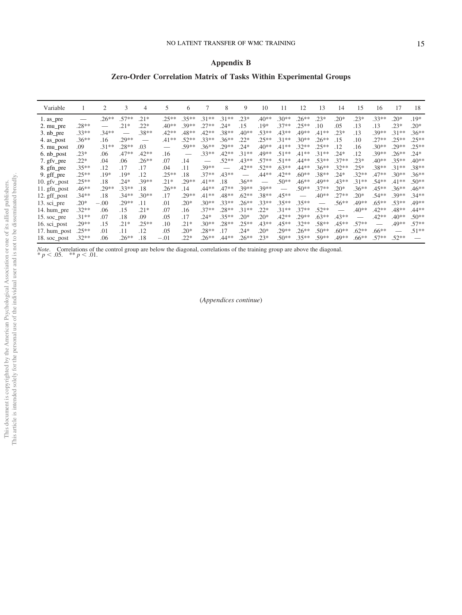# Appendix B

# Zero-Order Correlation Matrix of Tasks Within Experimental Groups

| Variable     |          | 2       | 3       | $\overline{4}$ | 5        | 6       |                               | 8       | 9       | 10      | 11       | 12      | 13      | 14      | 15                            | 16       | 17       | 18       |
|--------------|----------|---------|---------|----------------|----------|---------|-------------------------------|---------|---------|---------|----------|---------|---------|---------|-------------------------------|----------|----------|----------|
| 1. as_pre    |          | $.26**$ | $.57**$ | $.21*$         | $.25**$  | $.35**$ | $.31**$                       | $.31**$ | $.23*$  | $.40**$ | $.30**$  | $.26**$ | $.23*$  | $20*$   | $.23*$                        | $.33**$  | $.20*$   | .19*     |
| 2. mu_pre    | $.28**$  |         | $.21*$  | $.22*$         | $.40**$  | $.39**$ | $.27**$                       | $.24*$  | .15     | $.19*$  | $.37**$  | $.25**$ | .10     | .05     | .13                           | .13      | $.23*$   | $.20*$   |
| $3. nb$ pre  | $.33**$  | $.34**$ |         | $.38**$        | $.42**$  | $.48**$ | $.42**$                       | .38**   | $.40**$ | $.53**$ | $.43**$  | .49**   | $.41**$ | $.23*$  | .13                           | $.39**$  | $.31**$  | $.36**$  |
| 4. as_post   | $.36**$  | .16     | $.29**$ |                | $.41**$  | $52**$  | $33**$                        | $.36**$ | $.22*$  | $.25**$ | $.31***$ | $.30**$ | $.26**$ | .15     | .10                           | $.27**$  | $.25**$  | $.25**$  |
| 5. mu_post   | .09      | $.31**$ | $.28**$ | .03            |          | $.59**$ | $.36**$                       | $.29**$ | $.24*$  | $.40**$ | $.41**$  | $.32**$ | $.25**$ | .12     | .16                           | $.30**$  | $.29**$  | $.25***$ |
| 6. nb_post   | $.23*$   | .06     | $.47**$ | $.42**$        | .16      |         | $.33**$                       | $.42**$ | $.31**$ | .49**   | $.51**$  | $.41**$ | $.31**$ | $.24*$  | .12                           | $.39**$  | $.26***$ | $.24*$   |
| 7. gfv_pre   | $.22*$   | .04     | .06     | $.26**$        | .07      | .14     | $\overbrace{\phantom{12333}}$ | $.52**$ | $.43**$ | $.57**$ | $.51**$  | $.44**$ | $.53**$ | $.37**$ | $.23*$                        | $.40**$  | $.35**$  | $.40**$  |
| 8. gfn_pre   | $.35***$ | .12     | .17     | .17            | .04      | .11     | $.39**$                       |         | $.42**$ | $.52**$ | $.63**$  | .44**   | $.36**$ | $.32**$ | $.25*$                        | $.38**$  | $.31**$  | $.38**$  |
| 9. gff_pre   | $.25***$ | .19*    | .19*    | .12            | $25**$   | .18     | $.37**$                       | $.43**$ |         | .44**   | $.42**$  | $.60**$ | $.38**$ | $.24*$  | $.32**$                       | $.47**$  | $.30**$  | $.36**$  |
| 10. gfv_post | $.25***$ | .18     | $.24*$  | $.39**$        | $.21*$   | $.29**$ | $.41**$                       | .18     | $.36**$ |         | $.50**$  | $.46**$ | .49**   | $.43**$ | $.31***$                      | $.54**$  | $.41**$  | $.50**$  |
| 11. gfn_post | $.46**$  | $.29**$ | $.33**$ | .18            | $.26***$ | .14     | $.44**$                       | $.47**$ | $.39**$ | $.39**$ |          | $.50**$ | $.37**$ | $.20*$  | $.36**$                       | $.45**$  | $.36**$  | $.46**$  |
| 12. gff_post | $.34**$  | .18     | $.34**$ | $.30**$        | .17      | $.29**$ | $.41**$                       | $.48**$ | $.62**$ | $.38**$ | $.45**$  |         | $.40**$ | $.27**$ | $.20*$                        | $.54**$  | $.39**$  | $34**$   |
| 13. sci_pre  | $.20*$   | $-.00$  | $.29**$ | .11            | $\Omega$ | $.20*$  | $.30**$                       | $.33**$ | $.26**$ | $.33**$ | $.35**$  | $.35**$ |         | $.56**$ | .49**                         | $.65***$ | $.53**$  | .49**    |
| 14. hum_pre  | $.32**$  | .06     | .15     | $.21*$         | .07      | .16     | $.37**$                       | $.28**$ | $.31**$ | $.22*$  | $.31**$  | $.37**$ | $.52**$ |         | $.40**$                       | $.42**$  | $.48**$  | $.44**$  |
| 15. soc_pre  | $.31**$  | 07      | .18     | .09            | .05      | .17     | $.24*$                        | $.35**$ | $.20*$  | $.20*$  | $.42**$  | $.29**$ | $.63**$ | $.43**$ | $\overbrace{\phantom{12333}}$ | $.42**$  | $.40**$  | $.50**$  |
| 16. sci_post | $.29**$  | .15     | $.21*$  | $.25**$        | .10      | $.21*$  | $.30**$                       | $.28**$ | $.25**$ | $.43**$ | $.45**$  | $.32**$ | $.58**$ | $.45**$ | $.57**$                       |          | .49**    | $.57**$  |
| 17. hum_post | $.25***$ | .01     | .11     | .12            | .05      | $.20*$  | $.28**$                       | .17     | $.24*$  | $.20*$  | $.29**$  | $.26**$ | $.50**$ | $.60**$ | $.62**$                       | $.66***$ |          | $.51**$  |
| 18. soc_post | $.32**$  | .06     | $.26**$ | .18            | $-.01$   | $.22*$  | $.26**$                       | $.44**$ | $.26**$ | $.23*$  | $.50**$  | $.35**$ | $.59**$ | .49**   | $.66***$                      | $.57**$  | $.52**$  |          |

*Note.* Correlations of the control group are below the diagonal, correlations of the training group are above the diagonal. \*  $p < .05$ . \*\*  $p < .01$ .

(Appendices continue)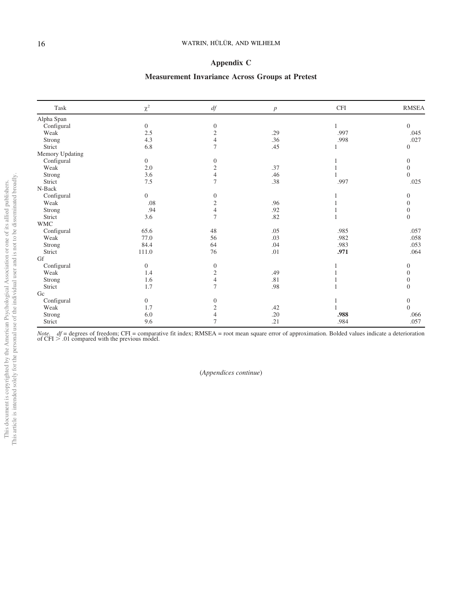# Appendix C

# Measurement Invariance Across Groups at Pretest

| Task            | $\chi^2$       | df                      | $\boldsymbol{p}$ | <b>CFI</b> | <b>RMSEA</b> |
|-----------------|----------------|-------------------------|------------------|------------|--------------|
| Alpha Span      |                |                         |                  |            |              |
| Configural      | $\overline{0}$ | $\boldsymbol{0}$        |                  |            | $\Omega$     |
| Weak            | 2.5            | $\mathfrak{2}$          | .29              | .997       | .045         |
| Strong          | 4.3            | $\overline{4}$          | .36              | .998       | .027         |
| Strict          | 6.8            | 7                       | .45              |            | $\Omega$     |
| Memory Updating |                |                         |                  |            |              |
| Configural      | $\overline{0}$ | $\mathbf{0}$            |                  |            | $\Omega$     |
| Weak            | 2.0            | $\mathfrak{2}$          | .37              |            | $\Omega$     |
| Strong          | 3.6            | $\overline{4}$          | .46              |            | $\Omega$     |
| Strict          | $7.5\,$        | 7                       | $.38\,$          | .997       | .025         |
| N-Back          |                |                         |                  |            |              |
| Configural      | $\overline{0}$ | $\theta$                |                  |            | $\Omega$     |
| Weak            | .08            | $\overline{\mathbf{c}}$ | .96              |            |              |
| Strong          | .94            | 4                       | .92              |            | 0            |
| Strict          | 3.6            | 7                       | .82              |            | $\mathbf{0}$ |
| <b>WMC</b>      |                |                         |                  |            |              |
| Configural      | 65.6           | 48                      | .05              | .985       | .057         |
| Weak            | 77.0           | 56                      | .03              | .982       | .058         |
| Strong          | 84.4           | 64                      | .04              | .983       | .053         |
| Strict          | 111.0          | 76                      | .01              | .971       | .064         |
| Gf              |                |                         |                  |            |              |
| Configural      | $\overline{0}$ | $\theta$                |                  |            | $\Omega$     |
| Weak            | 1.4            | $\mathfrak{2}$          | .49              |            |              |
| Strong          | 1.6            | $\overline{4}$          | .81              |            | $\Omega$     |
| Strict          | 1.7            | 7                       | .98              |            | $\Omega$     |
| Gc              |                |                         |                  |            |              |
| Configural      | $\overline{0}$ | $\mathbf{0}$            |                  |            | $\mathbf{0}$ |
| Weak            | 1.7            | $\sqrt{2}$              | .42              |            | $\theta$     |
| Strong          | $6.0\,$        | 4                       | .20              | .988       | .066         |
| Strict          | 9.6            | 7                       | .21              | .984       | .057         |

Note. *df* = degrees of freedom; CFI = comparative fit index; RMSEA = root mean square error of approximation. Bolded values indicate a deterioration of CFI > .01 compared with the previous model.

(Appendices continue)